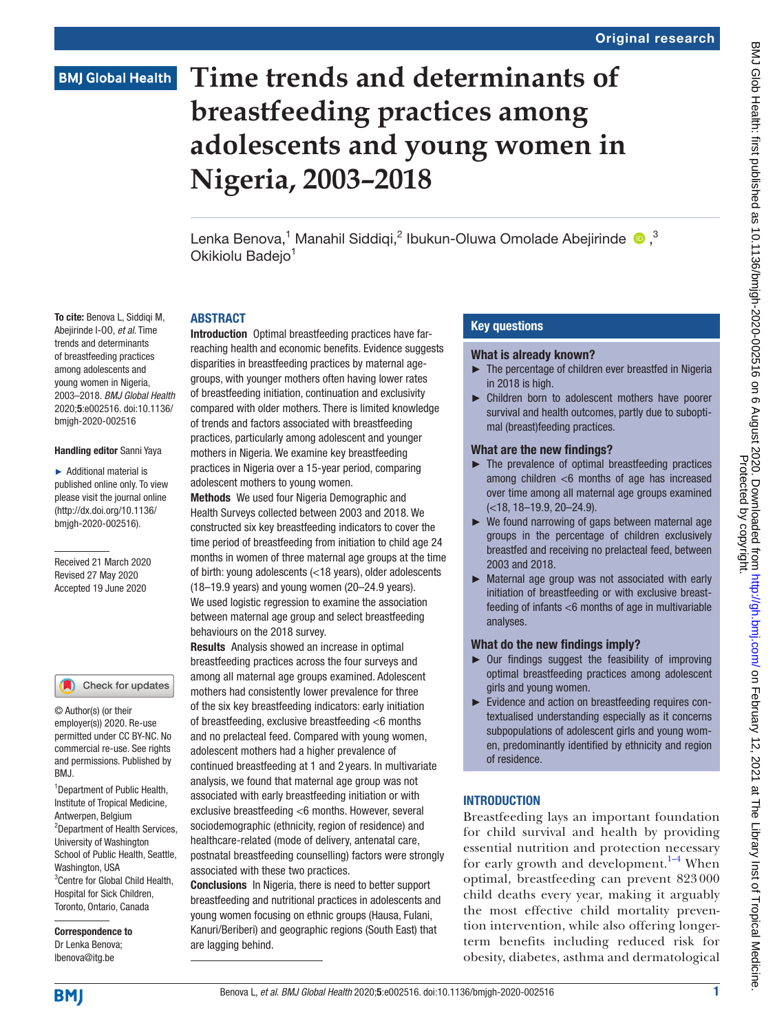# **BMJ Global Health**

# **Time trends and determinants of breastfeeding practices among adolescents and young women in Nigeria, 2003–2018**

LenkaBenova,<sup>1</sup> Manahil Siddiqi,<sup>2</sup> Ibukun-Oluwa Omolade Abejirinde <sup>1</sup>0,<sup>3</sup> Okikiolu Badeio<sup>1</sup>

#### **ARSTRACT**

To cite: Benova L, Siddiqi M, Abejirinde I-OO, *et al*. Time trends and determinants of breastfeeding practices among adolescents and young women in Nigeria, 2003–2018. *BMJ Global Health* 2020;5:e002516. doi:10.1136/ bmjgh-2020-002516

#### Handling editor Sanni Yaya

► Additional material is published online only. To view please visit the journal online (http://dx.doi.org/10.1136/ bmjgh-2020-002516).

Received 21 March 2020 Revised 27 May 2020 Accepted 19 June 2020

#### Check for updates

© Author(s) (or their employer(s)) 2020. Re-use permitted under CC BY-NC. No commercial re-use. See rights and permissions. Published by RM<sub>J</sub>

1 Department of Public Health, Institute of Tropical Medicine, Antwerpen, Belgium <sup>2</sup>Department of Health Services, University of Washington School of Public Health, Seattle, Washington, USA 3 Centre for Global Child Health, Hospital for Sick Children, Toronto, Ontario, Canada

Correspondence to Dr Lenka Benova; lbenova@itg.be

Introduction Optimal breastfeeding practices have farreaching health and economic benefits. Evidence suggests disparities in breastfeeding practices by maternal agegroups, with younger mothers often having lower rates of breastfeeding initiation, continuation and exclusivity compared with older mothers. There is limited knowledge of trends and factors associated with breastfeeding practices, particularly among adolescent and younger mothers in Nigeria. We examine key breastfeeding practices in Nigeria over a 15-year period, comparing adolescent mothers to young women.

Methods We used four Nigeria Demographic and Health Surveys collected between 2003 and 2018. We constructed six key breastfeeding indicators to cover the time period of breastfeeding from initiation to child age 24 months in women of three maternal age groups at the time of birth: young adolescents (<18 years), older adolescents (18–19.9 years) and young women (20–24.9 years). We used logistic regression to examine the association between maternal age group and select breastfeeding behaviours on the 2018 survey.

Results Analysis showed an increase in optimal breastfeeding practices across the four surveys and among all maternal age groups examined. Adolescent mothers had consistently lower prevalence for three of the six key breastfeeding indicators: early initiation of breastfeeding, exclusive breastfeeding <6 months and no prelacteal feed. Compared with young women, adolescent mothers had a higher prevalence of continued breastfeeding at 1 and 2 years. In multivariate analysis, we found that maternal age group was not associated with early breastfeeding initiation or with exclusive breastfeeding <6 months. However, several sociodemographic (ethnicity, region of residence) and healthcare-related (mode of delivery, antenatal care, postnatal breastfeeding counselling) factors were strongly associated with these two practices.

Conclusions In Nigeria, there is need to better support breastfeeding and nutritional practices in adolescents and young women focusing on ethnic groups (Hausa, Fulani, Kanuri/Beriberi) and geographic regions (South East) that are lagging behind.

#### Key questions

#### What is already known?

- ► The percentage of children ever breastfed in Nigeria in 2018 is high.
- ► Children born to adolescent mothers have poorer survival and health outcomes, partly due to suboptimal (breast)feeding practices.

#### What are the new findings?

- ► The prevalence of optimal breastfeeding practices among children <6 months of age has increased over time among all maternal age groups examined (<18, 18–19.9, 20–24.9).
- ► We found narrowing of gaps between maternal age groups in the percentage of children exclusively breastfed and receiving no prelacteal feed, between 2003 and 2018.
- ► Maternal age group was not associated with early initiation of breastfeeding or with exclusive breastfeeding of infants <6 months of age in multivariable analyses.

#### What do the new findings imply?

- ► Our findings suggest the feasibility of improving optimal breastfeeding practices among adolescent girls and young women.
- ► Evidence and action on breastfeeding requires contextualised understanding especially as it concerns subpopulations of adolescent girls and young women, predominantly identified by ethnicity and region of residence.

#### **INTRODUCTION**

Breastfeeding lays an important foundation for child survival and health by providing essential nutrition and protection necessary for early growth and development.<sup>1-4</sup> When optimal, breastfeeding can prevent 823 000 child deaths every year, making it arguably the most effective child mortality prevention intervention, while also offering longerterm benefits including reduced risk for obesity, diabetes, asthma and dermatological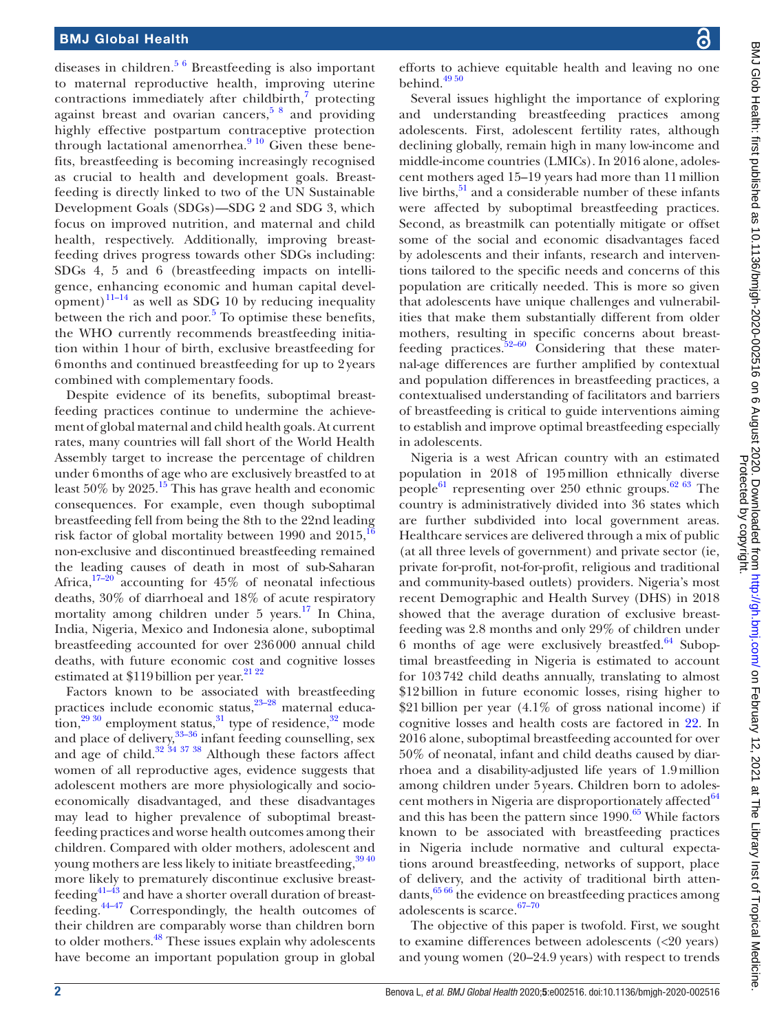diseases in children.<sup>5 6</sup> Breastfeeding is also important to maternal reproductive health, improving uterine contractions immediately after childbirth, $\frac{7}{7}$  $\frac{7}{7}$  $\frac{7}{7}$  protecting against breast and ovarian cancers,  $58$  and providing highly effective postpartum contraceptive protection through lactational amenorrhea.<sup>[9 10](#page-11-3)</sup> Given these benefits, breastfeeding is becoming increasingly recognised as crucial to health and development goals. Breastfeeding is directly linked to two of the UN Sustainable Development Goals (SDGs)—SDG 2 and SDG 3, which focus on improved nutrition, and maternal and child health, respectively. Additionally, improving breastfeeding drives progress towards other SDGs including: SDGs 4, 5 and 6 (breastfeeding impacts on intelligence, enhancing economic and human capital devel- $\sigma$ opment)<sup>11–14</sup> as well as SDG 10 by reducing inequality between the rich and poor.<sup>[5](#page-11-1)</sup> To optimise these benefits, the WHO currently recommends breastfeeding initiation within 1hour of birth, exclusive breastfeeding for 6 months and continued breastfeeding for up to 2 years combined with complementary foods.

Despite evidence of its benefits, suboptimal breastfeeding practices continue to undermine the achievement of global maternal and child health goals. At current rates, many countries will fall short of the World Health Assembly target to increase the percentage of children under 6months of age who are exclusively breastfed to at least  $50\%$  by  $2025.<sup>15</sup>$  This has grave health and economic consequences. For example, even though suboptimal breastfeeding fell from being the 8th to the 22nd leading risk factor of global mortality between 1990 and  $2015$ , non-exclusive and discontinued breastfeeding remained the leading causes of death in most of sub-Saharan Africa, $17-20$  accounting for 45% of neonatal infectious deaths, 30% of diarrhoeal and 18% of acute respiratory mortality among children under  $5$  years.<sup>17</sup> In China, India, Nigeria, Mexico and Indonesia alone, suboptimal breastfeeding accounted for over 236000 annual child deaths, with future economic cost and cognitive losses estimated at \$119 billion per year.<sup>[21 22](#page-11-8)</sup>

Factors known to be associated with breastfeeding practices include economic status,<sup>23-28</sup> maternal education,<sup>29 30</sup> employment status,<sup>31</sup> type of residence,<sup>32</sup> mode and place of delivery, $33-36$  infant feeding counselling, sex and age of child. $32\frac{34\frac{37}{38}}{8}$  Although these factors affect women of all reproductive ages, evidence suggests that adolescent mothers are more physiologically and socioeconomically disadvantaged, and these disadvantages may lead to higher prevalence of suboptimal breastfeeding practices and worse health outcomes among their children. Compared with older mothers, adolescent and young mothers are less likely to initiate breastfeeding,  $3940$ more likely to prematurely discontinue exclusive breastfeeding $41-43$  and have a shorter overall duration of breastfeeding.<sup>44-47</sup> Correspondingly, the health outcomes of their children are comparably worse than children born to older mothers.<sup>48</sup> These issues explain why adolescents have become an important population group in global

efforts to achieve equitable health and leaving no one behind. $49\,50$ 

Several issues highlight the importance of exploring and understanding breastfeeding practices among adolescents. First, adolescent fertility rates, although declining globally, remain high in many low-income and middle-income countries (LMICs). In 2016 alone, adolescent mothers aged 15–19 years had more than 11million live births, $51$  and a considerable number of these infants were affected by suboptimal breastfeeding practices. Second, as breastmilk can potentially mitigate or offset some of the social and economic disadvantages faced by adolescents and their infants, research and interventions tailored to the specific needs and concerns of this population are critically needed. This is more so given that adolescents have unique challenges and vulnerabilities that make them substantially different from older mothers, resulting in specific concerns about breastfeeding practices. $52-60$  Considering that these maternal-age differences are further amplified by contextual and population differences in breastfeeding practices, a contextualised understanding of facilitators and barriers of breastfeeding is critical to guide interventions aiming to establish and improve optimal breastfeeding especially in adolescents.

Nigeria is a west African country with an estimated population in 2018 of 195million ethnically diverse people<sup>61</sup> representing over 250 ethnic groups.<sup>[62 63](#page-12-12)</sup> The country is administratively divided into 36 states which are further subdivided into local government areas. Healthcare services are delivered through a mix of public (at all three levels of government) and private sector (ie, private for-profit, not-for-profit, religious and traditional and community-based outlets) providers. Nigeria's most recent Demographic and Health Survey (DHS) in 2018 showed that the average duration of exclusive breastfeeding was 2.8 months and only 29% of children under 6 months of age were exclusively breastfed. $64$  Suboptimal breastfeeding in Nigeria is estimated to account for 103742 child deaths annually, translating to almost \$12billion in future economic losses, rising higher to \$21 billion per year  $(4.1\%$  of gross national income) if cognitive losses and health costs are factored in [22](#page-11-10). In 2016 alone, suboptimal breastfeeding accounted for over 50% of neonatal, infant and child deaths caused by diarrhoea and a disability-adjusted life years of 1.9million among children under 5years. Children born to adolescent mothers in Nigeria are disproportionately affected $64$ and this has been the pattern since  $1990.^{65}$  While factors known to be associated with breastfeeding practices in Nigeria include normative and cultural expectations around breastfeeding, networks of support, place of delivery, and the activity of traditional birth attendants,  $65\,66$  the evidence on breastfeeding practices among adolescents is scarce.  $67-70$ 

The objective of this paper is twofold. First, we sought to examine differences between adolescents (<20 years) and young women (20–24.9 years) with respect to trends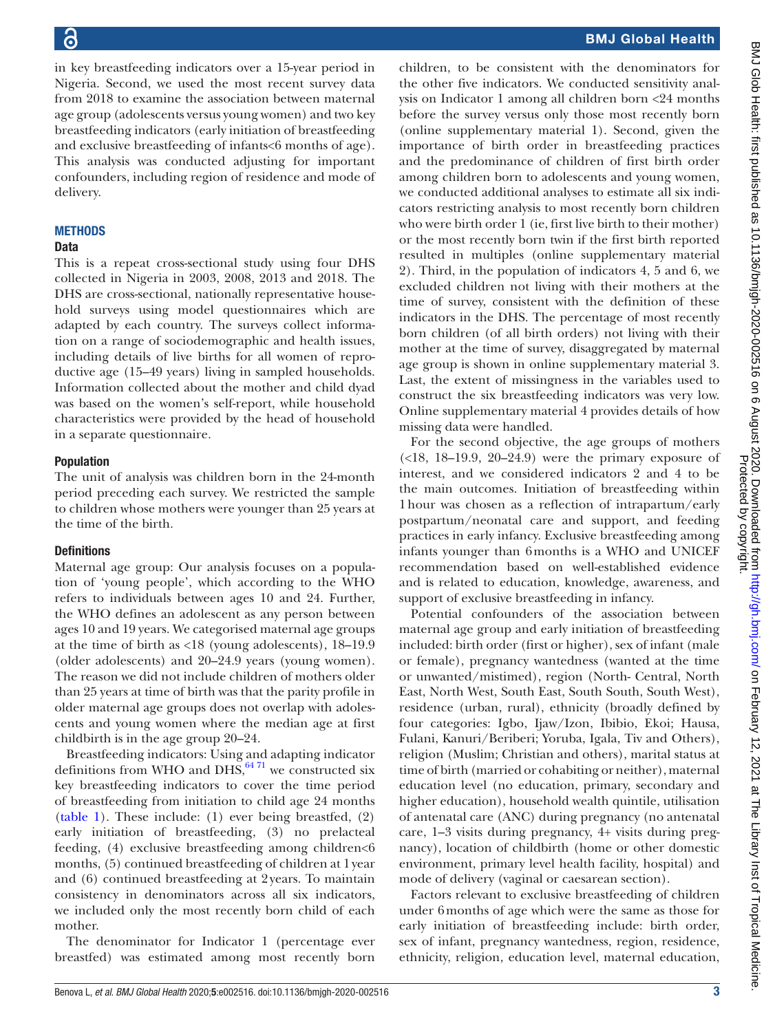in key breastfeeding indicators over a 15-year period in Nigeria. Second, we used the most recent survey data from 2018 to examine the association between maternal age group (adolescents versus young women) and two key breastfeeding indicators (early initiation of breastfeeding and exclusive breastfeeding of infants<6 months of age). This analysis was conducted adjusting for important confounders, including region of residence and mode of delivery.

#### **METHODS**

#### **Data**

This is a repeat cross-sectional study using four DHS collected in Nigeria in 2003, 2008, 2013 and 2018. The DHS are cross-sectional, nationally representative household surveys using model questionnaires which are adapted by each country. The surveys collect information on a range of sociodemographic and health issues, including details of live births for all women of reproductive age (15–49 years) living in sampled households. Information collected about the mother and child dyad was based on the women's self-report, while household characteristics were provided by the head of household in a separate questionnaire.

#### Population

The unit of analysis was children born in the 24-month period preceding each survey. We restricted the sample to children whose mothers were younger than 25 years at the time of the birth.

#### **Definitions**

Maternal age group: Our analysis focuses on a population of 'young people', which according to the WHO refers to individuals between ages 10 and 24. Further, the WHO defines an adolescent as any person between ages 10 and 19 years. We categorised maternal age groups at the time of birth as <18 (young adolescents), 18–19.9 (older adolescents) and 20–24.9 years (young women). The reason we did not include children of mothers older than 25 years at time of birth was that the parity profile in older maternal age groups does not overlap with adolescents and young women where the median age at first childbirth is in the age group 20–24.

Breastfeeding indicators: Using and adapting indicator definitions from WHO and DHS, $6471$  we constructed six key breastfeeding indicators to cover the time period of breastfeeding from initiation to child age 24 months [\(table](#page-3-0) 1). These include: (1) ever being breastfed, (2) early initiation of breastfeeding, (3) no prelacteal feeding, (4) exclusive breastfeeding among children<6 months, (5) continued breastfeeding of children at 1year and (6) continued breastfeeding at 2years. To maintain consistency in denominators across all six indicators, we included only the most recently born child of each mother.

The denominator for Indicator 1 (percentage ever breastfed) was estimated among most recently born

children, to be consistent with the denominators for the other five indicators. We conducted sensitivity analysis on Indicator 1 among all children born <24 months before the survey versus only those most recently born [\(online supplementary material 1\)](https://dx.doi.org/10.1136/bmjgh-2020-002516). Second, given the importance of birth order in breastfeeding practices and the predominance of children of first birth order among children born to adolescents and young women, we conducted additional analyses to estimate all six indicators restricting analysis to most recently born children who were birth order 1 (ie, first live birth to their mother) or the most recently born twin if the first birth reported resulted in multiples ([online supplementary material](https://dx.doi.org/10.1136/bmjgh-2020-002516) [2](https://dx.doi.org/10.1136/bmjgh-2020-002516)). Third, in the population of indicators 4, 5 and 6, we excluded children not living with their mothers at the time of survey, consistent with the definition of these indicators in the DHS. The percentage of most recently born children (of all birth orders) not living with their mother at the time of survey, disaggregated by maternal age group is shown in [online supplementary material 3.](https://dx.doi.org/10.1136/bmjgh-2020-002516) Last, the extent of missingness in the variables used to construct the six breastfeeding indicators was very low. [Online supplementary material 4](https://dx.doi.org/10.1136/bmjgh-2020-002516) provides details of how missing data were handled.

For the second objective, the age groups of mothers  $(\leq 18, 18-19.9, 20-24.9)$  were the primary exposure of interest, and we considered indicators 2 and 4 to be the main outcomes. Initiation of breastfeeding within 1hour was chosen as a reflection of intrapartum/early postpartum/neonatal care and support, and feeding practices in early infancy. Exclusive breastfeeding among infants younger than 6months is a WHO and UNICEF recommendation based on well-established evidence and is related to education, knowledge, awareness, and support of exclusive breastfeeding in infancy.

Potential confounders of the association between maternal age group and early initiation of breastfeeding included: birth order (first or higher), sex of infant (male or female), pregnancy wantedness (wanted at the time or unwanted/mistimed), region (North- Central, North East, North West, South East, South South, South West), residence (urban, rural), ethnicity (broadly defined by four categories: Igbo, Ijaw/Izon, Ibibio, Ekoi; Hausa, Fulani, Kanuri/Beriberi; Yoruba, Igala, Tiv and Others), religion (Muslim; Christian and others), marital status at time of birth (married or cohabiting or neither), maternal education level (no education, primary, secondary and higher education), household wealth quintile, utilisation of antenatal care (ANC) during pregnancy (no antenatal care, 1–3 visits during pregnancy, 4+ visits during pregnancy), location of childbirth (home or other domestic environment, primary level health facility, hospital) and mode of delivery (vaginal or caesarean section).

Factors relevant to exclusive breastfeeding of children under 6months of age which were the same as those for early initiation of breastfeeding include: birth order, sex of infant, pregnancy wantedness, region, residence, ethnicity, religion, education level, maternal education,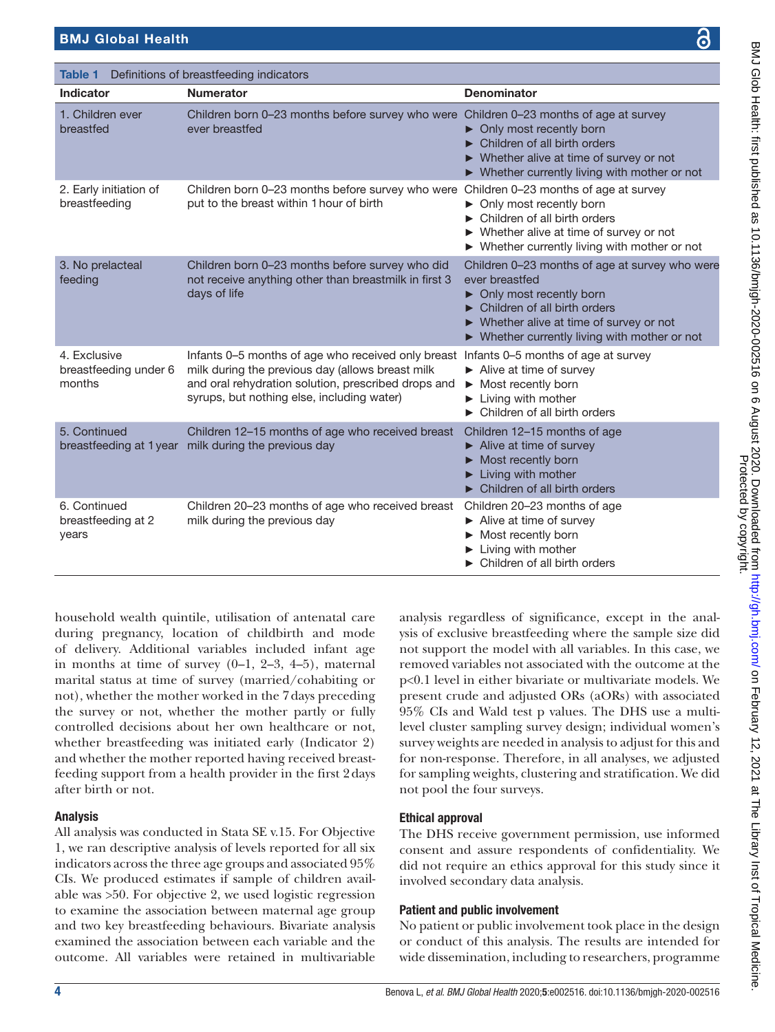<span id="page-3-0"></span>

| <b>Table 1</b>                                  | Definitions of breastfeeding indicators                                                                                                                                                                                                         |                                                                                                                                                                                                                                                |
|-------------------------------------------------|-------------------------------------------------------------------------------------------------------------------------------------------------------------------------------------------------------------------------------------------------|------------------------------------------------------------------------------------------------------------------------------------------------------------------------------------------------------------------------------------------------|
| <b>Indicator</b>                                | <b>Numerator</b>                                                                                                                                                                                                                                | <b>Denominator</b>                                                                                                                                                                                                                             |
| 1. Children ever<br>breastfed                   | Children born 0-23 months before survey who were<br>ever breastfed                                                                                                                                                                              | Children 0-23 months of age at survey<br>• Only most recently born<br>Children of all birth orders<br>$\triangleright$ Whether alive at time of survey or not<br>▶ Whether currently living with mother or not                                 |
| 2. Early initiation of<br>breastfeeding         | Children born 0-23 months before survey who were<br>put to the breast within 1 hour of birth                                                                                                                                                    | Children 0-23 months of age at survey<br>• Only most recently born<br>$\triangleright$ Children of all birth orders<br>$\triangleright$ Whether alive at time of survey or not<br>$\triangleright$ Whether currently living with mother or not |
| 3. No prelacteal<br>feeding                     | Children born 0-23 months before survey who did<br>not receive anything other than breastmilk in first 3<br>days of life                                                                                                                        | Children 0-23 months of age at survey who were<br>ever breastfed<br>• Only most recently born<br>> Children of all birth orders<br>$\triangleright$ Whether alive at time of survey or not<br>▶ Whether currently living with mother or not    |
| 4. Exclusive<br>breastfeeding under 6<br>months | Infants 0-5 months of age who received only breast Infants 0-5 months of age at survey<br>milk during the previous day (allows breast milk<br>and oral rehydration solution, prescribed drops and<br>syrups, but nothing else, including water) | Alive at time of survey<br>Most recently born<br>$\blacktriangleright$ Living with mother<br>> Children of all birth orders                                                                                                                    |
| 5. Continued<br>breastfeeding at 1 year         | Children 12-15 months of age who received breast<br>milk during the previous day                                                                                                                                                                | Children 12-15 months of age<br>Alive at time of survey<br>Most recently born<br>$\blacktriangleright$ Living with mother<br>$\triangleright$ Children of all birth orders                                                                     |
| 6. Continued<br>breastfeeding at 2<br>years     | Children 20-23 months of age who received breast<br>milk during the previous day                                                                                                                                                                | Children 20-23 months of age<br>Alive at time of survey<br>Most recently born<br>$\blacktriangleright$ Living with mother<br>> Children of all birth orders                                                                                    |

household wealth quintile, utilisation of antenatal care during pregnancy, location of childbirth and mode of delivery. Additional variables included infant age in months at time of survey  $(0-1, 2-3, 4-5)$ , maternal marital status at time of survey (married/cohabiting or not), whether the mother worked in the 7days preceding the survey or not, whether the mother partly or fully controlled decisions about her own healthcare or not, whether breastfeeding was initiated early (Indicator 2) and whether the mother reported having received breastfeeding support from a health provider in the first 2days after birth or not.

# Analysis

All analysis was conducted in Stata SE v.15. For Objective 1, we ran descriptive analysis of levels reported for all six indicators across the three age groups and associated 95% CIs. We produced estimates if sample of children available was >50. For objective 2, we used logistic regression to examine the association between maternal age group and two key breastfeeding behaviours. Bivariate analysis examined the association between each variable and the outcome. All variables were retained in multivariable

analysis regardless of significance, except in the analysis of exclusive breastfeeding where the sample size did not support the model with all variables. In this case, we removed variables not associated with the outcome at the p<0.1 level in either bivariate or multivariate models. We present crude and adjusted ORs (aORs) with associated 95% CIs and Wald test p values. The DHS use a multilevel cluster sampling survey design; individual women's survey weights are needed in analysis to adjust for this and for non-response. Therefore, in all analyses, we adjusted for sampling weights, clustering and stratification. We did not pool the four surveys.

# Ethical approval

The DHS receive government permission, use informed consent and assure respondents of confidentiality. We did not require an ethics approval for this study since it involved secondary data analysis.

# Patient and public involvement

No patient or public involvement took place in the design or conduct of this analysis. The results are intended for wide dissemination, including to researchers, programme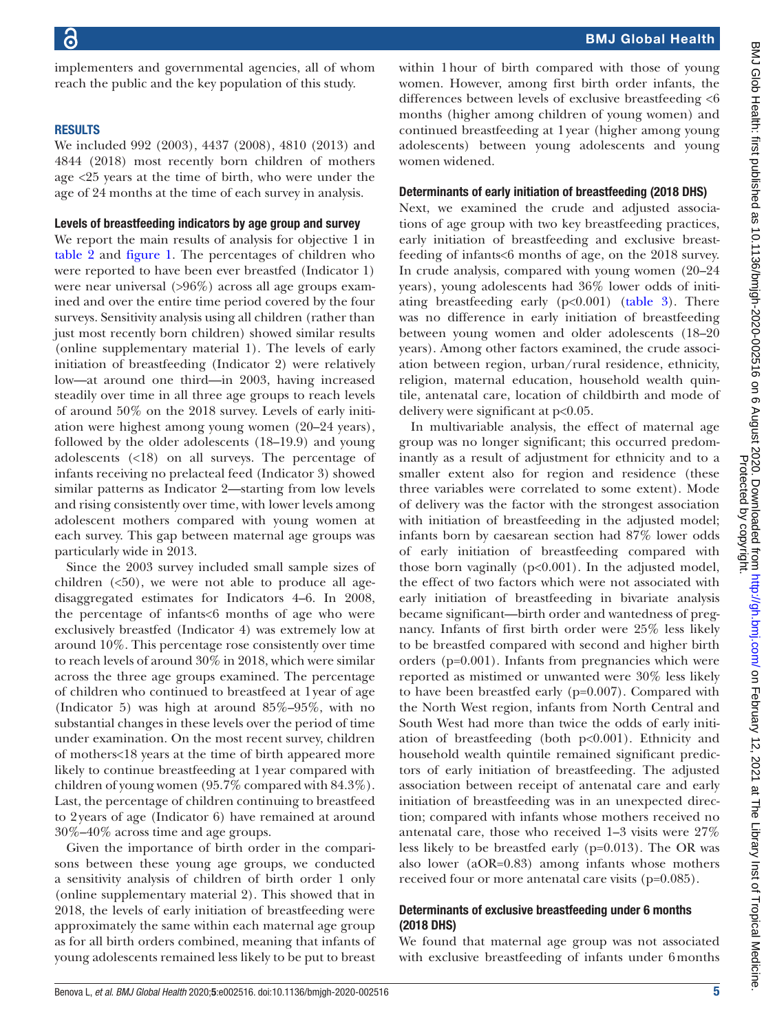implementers and governmental agencies, all of whom reach the public and the key population of this study.

#### RESULTS

We included 992 (2003), 4437 (2008), 4810 (2013) and 4844 (2018) most recently born children of mothers age <25 years at the time of birth, who were under the age of 24 months at the time of each survey in analysis.

#### Levels of breastfeeding indicators by age group and survey

We report the main results of analysis for objective 1 in [table](#page-5-0) 2 and [figure](#page-6-0) 1. The percentages of children who were reported to have been ever breastfed (Indicator 1) were near universal (>96%) across all age groups examined and over the entire time period covered by the four surveys. Sensitivity analysis using all children (rather than just most recently born children) showed similar results [\(online supplementary material 1\)](https://dx.doi.org/10.1136/bmjgh-2020-002516). The levels of early initiation of breastfeeding (Indicator 2) were relatively low—at around one third—in 2003, having increased steadily over time in all three age groups to reach levels of around 50% on the 2018 survey. Levels of early initiation were highest among young women (20–24 years), followed by the older adolescents (18–19.9) and young adolescents (<18) on all surveys. The percentage of infants receiving no prelacteal feed (Indicator 3) showed similar patterns as Indicator 2—starting from low levels and rising consistently over time, with lower levels among adolescent mothers compared with young women at each survey. This gap between maternal age groups was particularly wide in 2013.

Since the 2003 survey included small sample sizes of children  $( $50$ ), we were not able to produce all age$ disaggregated estimates for Indicators 4–6. In 2008, the percentage of infants<6 months of age who were exclusively breastfed (Indicator 4) was extremely low at around 10%. This percentage rose consistently over time to reach levels of around 30% in 2018, which were similar across the three age groups examined. The percentage of children who continued to breastfeed at 1year of age (Indicator 5) was high at around 85%–95%, with no substantial changes in these levels over the period of time under examination. On the most recent survey, children of mothers<18 years at the time of birth appeared more likely to continue breastfeeding at 1year compared with children of young women (95.7% compared with 84.3%). Last, the percentage of children continuing to breastfeed to 2years of age (Indicator 6) have remained at around 30%–40% across time and age groups.

Given the importance of birth order in the comparisons between these young age groups, we conducted a sensitivity analysis of children of birth order 1 only [\(online supplementary material 2\)](https://dx.doi.org/10.1136/bmjgh-2020-002516). This showed that in 2018, the levels of early initiation of breastfeeding were approximately the same within each maternal age group as for all birth orders combined, meaning that infants of young adolescents remained less likely to be put to breast

within 1hour of birth compared with those of young women. However, among first birth order infants, the differences between levels of exclusive breastfeeding <6 months (higher among children of young women) and continued breastfeeding at 1year (higher among young adolescents) between young adolescents and young women widened.

#### Determinants of early initiation of breastfeeding (2018 DHS)

Next, we examined the crude and adjusted associations of age group with two key breastfeeding practices, early initiation of breastfeeding and exclusive breastfeeding of infants<6 months of age, on the 2018 survey. In crude analysis, compared with young women (20–24 years), young adolescents had 36% lower odds of initiating breastfeeding early  $(p<0.001)$  ([table](#page-7-0) 3). There was no difference in early initiation of breastfeeding between young women and older adolescents (18–20 years). Among other factors examined, the crude association between region, urban/rural residence, ethnicity, religion, maternal education, household wealth quintile, antenatal care, location of childbirth and mode of delivery were significant at p<0.05.

In multivariable analysis, the effect of maternal age group was no longer significant; this occurred predominantly as a result of adjustment for ethnicity and to a smaller extent also for region and residence (these three variables were correlated to some extent). Mode of delivery was the factor with the strongest association with initiation of breastfeeding in the adjusted model; infants born by caesarean section had 87% lower odds of early initiation of breastfeeding compared with those born vaginally  $(p<0.001)$ . In the adjusted model, the effect of two factors which were not associated with early initiation of breastfeeding in bivariate analysis became significant—birth order and wantedness of pregnancy. Infants of first birth order were 25% less likely to be breastfed compared with second and higher birth orders (p=0.001). Infants from pregnancies which were reported as mistimed or unwanted were 30% less likely to have been breastfed early (p=0.007). Compared with the North West region, infants from North Central and South West had more than twice the odds of early initiation of breastfeeding (both  $p<0.001$ ). Ethnicity and household wealth quintile remained significant predictors of early initiation of breastfeeding. The adjusted association between receipt of antenatal care and early initiation of breastfeeding was in an unexpected direction; compared with infants whose mothers received no antenatal care, those who received 1–3 visits were 27% less likely to be breastfed early (p=0.013). The OR was also lower (aOR=0.83) among infants whose mothers received four or more antenatal care visits (p=0.085).

#### Determinants of exclusive breastfeeding under 6 months (2018 DHS)

We found that maternal age group was not associated with exclusive breastfeeding of infants under 6months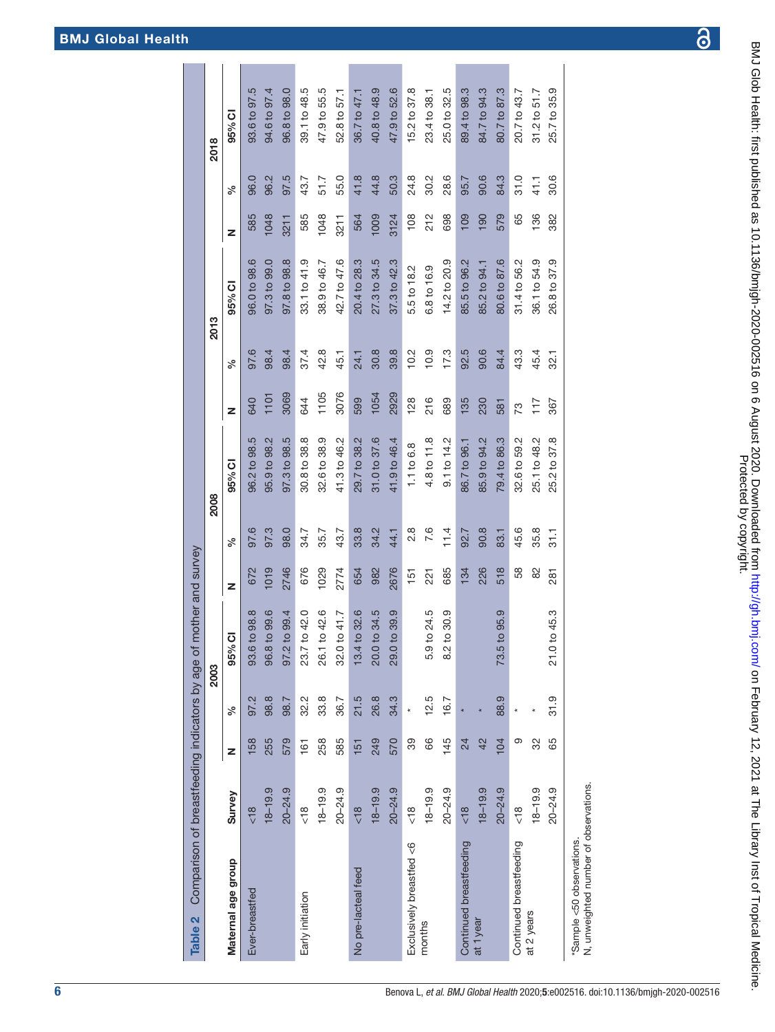<span id="page-5-0"></span>

| Table 2 Comparison of breastfeeding indicators by age of          |                |     |         | mother and survey |      |               |              |      |      |              |      |      |                  |
|-------------------------------------------------------------------|----------------|-----|---------|-------------------|------|---------------|--------------|------|------|--------------|------|------|------------------|
|                                                                   |                |     |         | 2003              |      | 2008          |              |      |      | 2013         |      |      | 2018             |
| Maternal age group                                                | Survey         | z   | న్      | ō<br>95%          | z    | న్            | 95% CI       | z    | న్   | 95% Cl       | z    | న్   | 95% Cl           |
| Ever-breastfed                                                    | $rac{8}{5}$    | 158 | 97.2    | to 98.8<br>93.6   | 672  | 97.6          | 96.2 to 98.5 | 640  | 97.6 | 96.0 to 98.6 | 585  | 96.0 | 93.6 to 97.5     |
|                                                                   | $18 - 19.9$    | 255 | 98.8    | to 99.6<br>96.8   | 1019 | 97.3          | 95.9 to 98.2 | 1101 | 98.4 | 97.3 to 99.0 | 1048 | 96.2 | 94.6 to 97.4     |
|                                                                   | $20 - 24.9$    | 579 | 98.7    | to $99.4$<br>97.2 | 2746 | 98.0          | 97.3 to 98.5 | 3069 | 98.4 | 97.8 to 98.8 | 3211 | 97.5 | 96.8 to 98.0     |
| Early initiation                                                  | $\frac{8}{10}$ | 161 | 32.2    | to 42.0<br>23.7   | 676  | 34.7          | 30.8 to 38.8 | 644  | 37.4 | 33.1 to 41.9 | 585  | 43.7 | 39.1 to 48.5     |
|                                                                   | $18 - 19.9$    | 258 | 33.8    | to 42.6<br>26.1   | 1029 | 35.7          | 32.6 to 38.9 | 1105 | 42.8 | 38.9 to 46.7 | 1048 | 51.7 | 47.9 to 55.5     |
|                                                                   | $20 - 24.9$    | 585 | 36.7    | to $41.7$<br>32.0 | 2774 | 43.7          | 41.3 to 46.2 | 3076 | 45.1 | 42.7 to 47.6 | 3211 | 55.0 | 52.8 to 57.1     |
| No pre-lacteal feed                                               | $\frac{8}{18}$ | 151 | 21.5    | to 32.6<br>13.4   | 654  | 33.8          | 29.7 to 38.2 | 599  | 24.1 | 20.4 to 28.3 | 564  | 41.8 | 36.7 to 47.1     |
|                                                                   | $18 - 19.9$    | 249 | 26.8    | to 34.5<br>20.0   | 982  | 34.2          | 31.0 to 37.6 | 1054 | 30.8 | 27.3 to 34.5 | 1009 | 44.8 | 40.8 to 48.9     |
|                                                                   | $20 - 24.9$    | 570 | 34.3    | to 39.9<br>29.0   | 2676 | 44.1          | 41.9 to 46.4 | 2929 | 39.8 | 37.3 to 42.3 | 3124 | 50.3 | 47.9 to 52.6     |
| Exclusively breastfed <6                                          | $\frac{8}{10}$ | 39  | $\star$ |                   | 151  | 2.8           | 1.1 to 6.8   | 128  | 10.2 | 5.5 to 18.2  | 108  | 24.8 | 15.2 to 37.8     |
| months                                                            | $18 - 19.9$    | 66  | 12.5    | to 24.5<br>5.9    | 221  | 7.6           | 4.8 to 11.8  | 216  | 10.9 | 6.8 to 16.9  | 212  | 30.2 | 23.4 to 38.1     |
|                                                                   | $20 - 24.9$    | 145 | 16.7    | to 30.9<br>2.9    | 685  | 11.4          | 9.1 to 14.2  | 689  | 17.3 | 14.2 to 20.9 | 698  | 28.6 | 25.0 to 32.5     |
| Continued breastfeeding                                           | $rac{8}{5}$    | 24  |         |                   | 134  | 92.7          | 86.7 to 96.1 | 135  | 92.5 | 85.5 to 96.2 | 109  | 95.7 | 89.4 to 98.3     |
| at 1 year                                                         | $18 - 19.9$    | 42  |         |                   | 226  | 90.8          | 85.9 to 94.2 | 230  | 90.6 | 85.2 to 94.1 | 190  | 90.6 | 84.7 to 94.3     |
|                                                                   | $20 - 24.9$    | 104 | 88.9    | to 95.9<br>73.5   | 518  | 83.1          | 79.4 to 86.3 | 581  | 84.4 | 80.6 to 87.6 | 579  | 84.3 | 80.7 to 87.3     |
| Continued breastfeeding                                           | $\frac{8}{10}$ | တ   | $\ast$  |                   | 58   | 45.6          | 32.6 to 59.2 | 73   | 43.3 | 31.4 to 56.2 | 65   | 31.0 | 20.7 to 43.7     |
| at 2 years                                                        | $18 - 19.9$    | 32  |         |                   | 82   | 35.8          | 25.1 to 48.2 | 117  | 45.4 | 36.1 to 54.9 | 136  | 41.1 | $31.2$ to $51.7$ |
|                                                                   | $20 - 24.9$    | 65  | 31.9    | to $45.3$<br>21.0 | 281  | $\frac{1}{5}$ | 25.2 to 37.8 | 367  | 32.1 | 26.8 to 37.9 | 382  | 30.6 | 25.7 to 35.9     |
| N, unweighted number of observations.<br>Sample <50 observations. |                |     |         |                   |      |               |              |      |      |              |      |      |                  |

 $\overline{\partial}$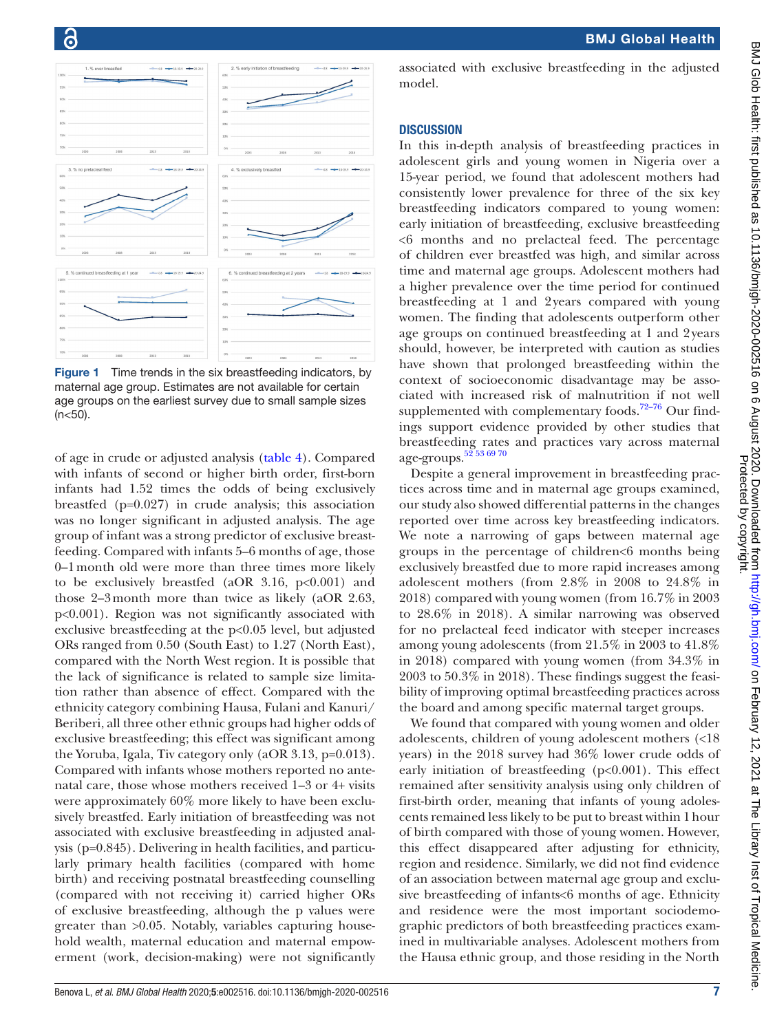

<span id="page-6-0"></span>Figure 1 Time trends in the six breastfeeding indicators, by maternal age group. Estimates are not available for certain age groups on the earliest survey due to small sample sizes  $(n<50)$ .

of age in crude or adjusted analysis ([table](#page-9-0) 4). Compared with infants of second or higher birth order, first-born infants had 1.52 times the odds of being exclusively breastfed (p=0.027) in crude analysis; this association was no longer significant in adjusted analysis. The age group of infant was a strong predictor of exclusive breastfeeding. Compared with infants 5–6 months of age, those 0–1month old were more than three times more likely to be exclusively breastfed  $(aOR 3.16, p<0.001)$  and those 2–3month more than twice as likely (aOR 2.63, p<0.001). Region was not significantly associated with exclusive breastfeeding at the p<0.05 level, but adjusted ORs ranged from 0.50 (South East) to 1.27 (North East), compared with the North West region. It is possible that the lack of significance is related to sample size limitation rather than absence of effect. Compared with the ethnicity category combining Hausa, Fulani and Kanuri/ Beriberi, all three other ethnic groups had higher odds of exclusive breastfeeding; this effect was significant among the Yoruba, Igala, Tiv category only (aOR 3.13, p=0.013). Compared with infants whose mothers reported no antenatal care, those whose mothers received 1–3 or 4+ visits were approximately 60% more likely to have been exclusively breastfed. Early initiation of breastfeeding was not associated with exclusive breastfeeding in adjusted analysis (p=0.845). Delivering in health facilities, and particularly primary health facilities (compared with home birth) and receiving postnatal breastfeeding counselling (compared with not receiving it) carried higher ORs of exclusive breastfeeding, although the p values were greater than >0.05. Notably, variables capturing household wealth, maternal education and maternal empowerment (work, decision-making) were not significantly

associated with exclusive breastfeeding in the adjusted model.

#### **DISCUSSION**

In this in-depth analysis of breastfeeding practices in adolescent girls and young women in Nigeria over a 15-year period, we found that adolescent mothers had consistently lower prevalence for three of the six key breastfeeding indicators compared to young women: early initiation of breastfeeding, exclusive breastfeeding <6 months and no prelacteal feed. The percentage of children ever breastfed was high, and similar across time and maternal age groups. Adolescent mothers had a higher prevalence over the time period for continued breastfeeding at 1 and 2years compared with young women. The finding that adolescents outperform other age groups on continued breastfeeding at 1 and 2years should, however, be interpreted with caution as studies have shown that prolonged breastfeeding within the context of socioeconomic disadvantage may be associated with increased risk of malnutrition if not well supplemented with complementary foods.<sup>72–76</sup> Our findings support evidence provided by other studies that breastfeeding rates and practices vary across maternal age-groups.<sup>52</sup>53 69 70

Despite a general improvement in breastfeeding practices across time and in maternal age groups examined, our study also showed differential patterns in the changes reported over time across key breastfeeding indicators. We note a narrowing of gaps between maternal age groups in the percentage of children<6 months being exclusively breastfed due to more rapid increases among adolescent mothers (from 2.8% in 2008 to 24.8% in 2018) compared with young women (from 16.7% in 2003 to 28.6% in 2018). A similar narrowing was observed for no prelacteal feed indicator with steeper increases among young adolescents (from 21.5% in 2003 to 41.8% in 2018) compared with young women (from 34.3% in 2003 to 50.3% in 2018). These findings suggest the feasibility of improving optimal breastfeeding practices across the board and among specific maternal target groups.

We found that compared with young women and older adolescents, children of young adolescent mothers (<18 years) in the 2018 survey had 36% lower crude odds of early initiation of breastfeeding  $(p<0.001)$ . This effect remained after sensitivity analysis using only children of first-birth order, meaning that infants of young adolescents remained less likely to be put to breast within 1hour of birth compared with those of young women. However, this effect disappeared after adjusting for ethnicity, region and residence. Similarly, we did not find evidence of an association between maternal age group and exclusive breastfeeding of infants<6 months of age. Ethnicity and residence were the most important sociodemographic predictors of both breastfeeding practices examined in multivariable analyses. Adolescent mothers from the Hausa ethnic group, and those residing in the North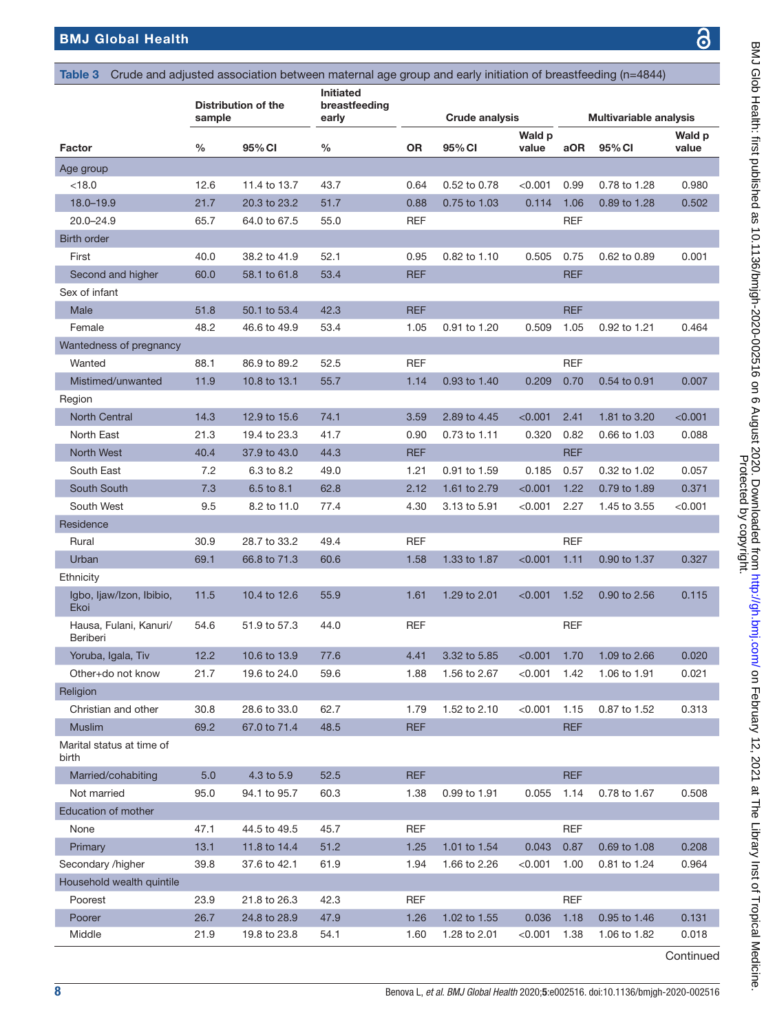<span id="page-7-0"></span>

|                                    | sample        | <b>Distribution of the</b> | <b>Initiated</b><br>breastfeeding<br>early |            | <b>Crude analysis</b> |         |            | <b>Multivariable analysis</b> |           |
|------------------------------------|---------------|----------------------------|--------------------------------------------|------------|-----------------------|---------|------------|-------------------------------|-----------|
|                                    |               |                            |                                            |            |                       | Wald p  |            |                               | Wald p    |
| Factor                             | $\frac{0}{0}$ | 95% CI                     | $\%$                                       | <b>OR</b>  | 95% CI                | value   | aOR        | 95% CI                        | value     |
| Age group                          |               |                            |                                            |            |                       |         |            |                               |           |
| < 18.0                             | 12.6          | 11.4 to 13.7               | 43.7                                       | 0.64       | 0.52 to 0.78          | < 0.001 | 0.99       | 0.78 to 1.28                  | 0.980     |
| 18.0-19.9                          | 21.7          | 20.3 to 23.2               | 51.7                                       | 0.88       | 0.75 to 1.03          | 0.114   | 1.06       | 0.89 to 1.28                  | 0.502     |
| $20.0 - 24.9$                      | 65.7          | 64.0 to 67.5               | 55.0                                       | REF        |                       |         | <b>REF</b> |                               |           |
| <b>Birth order</b>                 |               |                            |                                            |            |                       |         |            |                               |           |
| First                              | 40.0          | 38.2 to 41.9               | 52.1                                       | 0.95       | 0.82 to 1.10          | 0.505   | 0.75       | 0.62 to 0.89                  | 0.001     |
| Second and higher                  | 60.0          | 58.1 to 61.8               | 53.4                                       | <b>REF</b> |                       |         | <b>REF</b> |                               |           |
| Sex of infant                      |               |                            |                                            |            |                       |         |            |                               |           |
| Male                               | 51.8          | 50.1 to 53.4               | 42.3                                       | <b>REF</b> |                       |         | <b>REF</b> |                               |           |
| Female                             | 48.2          | 46.6 to 49.9               | 53.4                                       | 1.05       | 0.91 to 1.20          | 0.509   | 1.05       | 0.92 to 1.21                  | 0.464     |
| Wantedness of pregnancy            |               |                            |                                            |            |                       |         |            |                               |           |
| Wanted                             | 88.1          | 86.9 to 89.2               | 52.5                                       | REF        |                       |         | <b>REF</b> |                               |           |
| Mistimed/unwanted                  |               |                            | 55.7                                       |            | 0.93 to 1.40          | 0.209   | 0.70       |                               | 0.007     |
|                                    | 11.9          | 10.8 to 13.1               |                                            | 1.14       |                       |         |            | 0.54 to 0.91                  |           |
| Region                             |               |                            |                                            |            |                       |         |            |                               |           |
| <b>North Central</b>               | 14.3          | 12.9 to 15.6               | 74.1                                       | 3.59       | 2.89 to 4.45          | < 0.001 | 2.41       | 1.81 to 3.20                  | < 0.001   |
| North East                         | 21.3          | 19.4 to 23.3               | 41.7                                       | 0.90       | 0.73 to 1.11          | 0.320   | 0.82       | 0.66 to 1.03                  | 0.088     |
| North West                         | 40.4          | 37.9 to 43.0               | 44.3                                       | <b>REF</b> |                       |         | <b>REF</b> |                               |           |
| South East                         | 7.2           | 6.3 to 8.2                 | 49.0                                       | 1.21       | 0.91 to 1.59          | 0.185   | 0.57       | 0.32 to 1.02                  | 0.057     |
| South South                        | 7.3           | $6.5$ to $8.1$             | 62.8                                       | 2.12       | 1.61 to 2.79          | < 0.001 | 1.22       | 0.79 to 1.89                  | 0.371     |
| South West                         | 9.5           | 8.2 to 11.0                | 77.4                                       | 4.30       | 3.13 to 5.91          | < 0.001 | 2.27       | 1.45 to 3.55                  | < 0.001   |
| Residence                          |               |                            |                                            |            |                       |         |            |                               |           |
| Rural                              | 30.9          | 28.7 to 33.2               | 49.4                                       | REF        |                       |         | <b>REF</b> |                               |           |
| Urban                              | 69.1          | 66.8 to 71.3               | 60.6                                       | 1.58       | 1.33 to 1.87          | < 0.001 | 1.11       | 0.90 to 1.37                  | 0.327     |
| Ethnicity                          |               |                            |                                            |            |                       |         |            |                               |           |
| Igbo, Ijaw/Izon, Ibibio,<br>Ekoi   | 11.5          | 10.4 to 12.6               | 55.9                                       | 1.61       | 1.29 to 2.01          | < 0.001 | 1.52       | 0.90 to 2.56                  | 0.115     |
| Hausa, Fulani, Kanuri/<br>Beriberi | 54.6          | 51.9 to 57.3               | 44.0                                       | REF        |                       |         | <b>REF</b> |                               |           |
| Yoruba, Igala, Tiv                 | 12.2          | 10.6 to 13.9               | 77.6                                       | 4.41       | 3.32 to 5.85          | < 0.001 | 1.70       | 1.09 to 2.66                  | 0.020     |
| Other+do not know                  | 21.7          | 19.6 to 24.0               | 59.6                                       | 1.88       | 1.56 to 2.67          | < 0.001 | 1.42       | 1.06 to 1.91                  | 0.021     |
| Religion                           |               |                            |                                            |            |                       |         |            |                               |           |
| Christian and other                | 30.8          | 28.6 to 33.0               | 62.7                                       | 1.79       | 1.52 to 2.10          | < 0.001 | 1.15       | 0.87 to 1.52                  | 0.313     |
| Muslim                             | 69.2          | 67.0 to 71.4               | 48.5                                       | <b>REF</b> |                       |         | <b>REF</b> |                               |           |
| Marital status at time of<br>birth |               |                            |                                            |            |                       |         |            |                               |           |
| Married/cohabiting                 | 5.0           | 4.3 to 5.9                 | 52.5                                       | <b>REF</b> |                       |         | <b>REF</b> |                               |           |
| Not married                        | 95.0          | 94.1 to 95.7               | 60.3                                       | 1.38       | 0.99 to 1.91          | 0.055   | 1.14       | 0.78 to 1.67                  | 0.508     |
| Education of mother                |               |                            |                                            |            |                       |         |            |                               |           |
| None                               | 47.1          | 44.5 to 49.5               | 45.7                                       | <b>REF</b> |                       |         | <b>REF</b> |                               |           |
| Primary                            | 13.1          | 11.8 to 14.4               | 51.2                                       | 1.25       | 1.01 to 1.54          | 0.043   | 0.87       | 0.69 to 1.08                  | 0.208     |
| Secondary /higher                  | 39.8          | 37.6 to 42.1               | 61.9                                       | 1.94       | 1.66 to 2.26          | < 0.001 | 1.00       | 0.81 to 1.24                  | 0.964     |
| Household wealth quintile          |               |                            |                                            |            |                       |         |            |                               |           |
| Poorest                            | 23.9          | 21.8 to 26.3               | 42.3                                       | REF        |                       |         | <b>REF</b> |                               |           |
| Poorer                             | 26.7          | 24.8 to 28.9               | 47.9                                       | 1.26       | 1.02 to 1.55          | 0.036   | 1.18       | 0.95 to 1.46                  | 0.131     |
| Middle                             | 21.9          | 19.8 to 23.8               | 54.1                                       | 1.60       | 1.28 to 2.01          | < 0.001 | 1.38       | 1.06 to 1.82                  | 0.018     |
|                                    |               |                            |                                            |            |                       |         |            |                               | Continued |
|                                    |               |                            |                                            |            |                       |         |            |                               |           |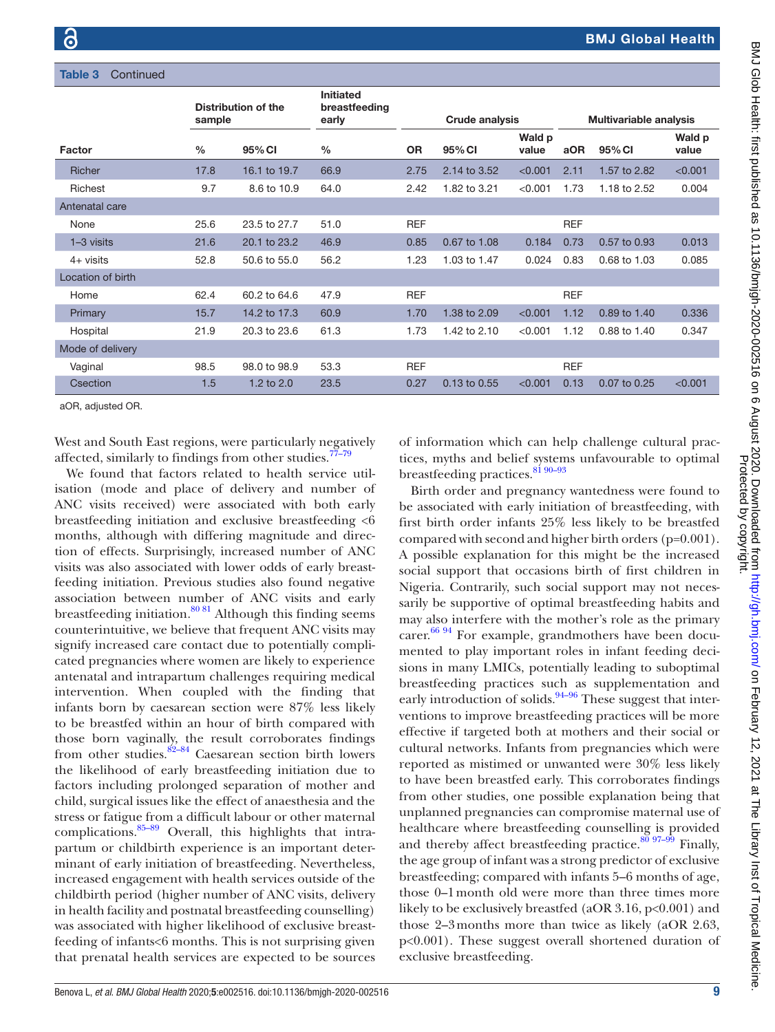#### Table 3 Continued

|                   | sample        | Distribution of the | <b>Initiated</b><br>breastfeeding<br>early |            | <b>Crude analysis</b> |                 |            | <b>Multivariable analysis</b> |                 |
|-------------------|---------------|---------------------|--------------------------------------------|------------|-----------------------|-----------------|------------|-------------------------------|-----------------|
| Factor            | $\frac{0}{0}$ | 95% CI              | $\frac{0}{0}$                              | <b>OR</b>  | 95% CI                | Wald p<br>value | aOR        | 95% CI                        | Wald p<br>value |
| Richer            | 17.8          | 16.1 to 19.7        | 66.9                                       | 2.75       | 2.14 to 3.52          | < 0.001         | 2.11       | 1.57 to 2.82                  | < 0.001         |
| <b>Richest</b>    | 9.7           | 8.6 to 10.9         | 64.0                                       | 2.42       | 1.82 to 3.21          | < 0.001         | 1.73       | 1.18 to 2.52                  | 0.004           |
| Antenatal care    |               |                     |                                            |            |                       |                 |            |                               |                 |
| None              | 25.6          | 23.5 to 27.7        | 51.0                                       | <b>REF</b> |                       |                 | <b>REF</b> |                               |                 |
| $1 - 3$ visits    | 21.6          | 20.1 to 23.2        | 46.9                                       | 0.85       | 0.67 to 1.08          | 0.184           | 0.73       | 0.57 to 0.93                  | 0.013           |
| $4+$ visits       | 52.8          | 50.6 to 55.0        | 56.2                                       | 1.23       | 1.03 to 1.47          | 0.024           | 0.83       | 0.68 to 1.03                  | 0.085           |
| Location of birth |               |                     |                                            |            |                       |                 |            |                               |                 |
| Home              | 62.4          | 60.2 to 64.6        | 47.9                                       | <b>REF</b> |                       |                 | <b>REF</b> |                               |                 |
| Primary           | 15.7          | 14.2 to 17.3        | 60.9                                       | 1.70       | 1.38 to 2.09          | < 0.001         | 1.12       | 0.89 to 1.40                  | 0.336           |
| Hospital          | 21.9          | 20.3 to 23.6        | 61.3                                       | 1.73       | 1.42 to 2.10          | < 0.001         | 1.12       | 0.88 to 1.40                  | 0.347           |
| Mode of delivery  |               |                     |                                            |            |                       |                 |            |                               |                 |
| Vaginal           | 98.5          | 98.0 to 98.9        | 53.3                                       | <b>REF</b> |                       |                 | <b>REF</b> |                               |                 |
| Csection          | 1.5           | 1.2 to 2.0          | 23.5                                       | 0.27       | 0.13 to 0.55          | < 0.001         | 0.13       | 0.07 to 0.25                  | < 0.001         |

aOR, adjusted OR.

West and South East regions, were particularly negatively affected, similarly to findings from other studies.<sup>77–79</sup>

We found that factors related to health service utilisation (mode and place of delivery and number of ANC visits received) were associated with both early breastfeeding initiation and exclusive breastfeeding <6 months, although with differing magnitude and direction of effects. Surprisingly, increased number of ANC visits was also associated with lower odds of early breastfeeding initiation. Previous studies also found negative association between number of ANC visits and early breastfeeding initiation. $80\frac{81}{10}$  Although this finding seems counterintuitive, we believe that frequent ANC visits may signify increased care contact due to potentially complicated pregnancies where women are likely to experience antenatal and intrapartum challenges requiring medical intervention. When coupled with the finding that infants born by caesarean section were 87% less likely to be breastfed within an hour of birth compared with those born vaginally, the result corroborates findings from other studies. $82-84$  Caesarean section birth lowers the likelihood of early breastfeeding initiation due to factors including prolonged separation of mother and child, surgical issues like the effect of anaesthesia and the stress or fatigue from a difficult labour or other maternal complications.<sup>85–89</sup> Overall, this highlights that intrapartum or childbirth experience is an important determinant of early initiation of breastfeeding. Nevertheless, increased engagement with health services outside of the childbirth period (higher number of ANC visits, delivery in health facility and postnatal breastfeeding counselling) was associated with higher likelihood of exclusive breastfeeding of infants<6 months. This is not surprising given that prenatal health services are expected to be sources

of information which can help challenge cultural practices, myths and belief systems unfavourable to optimal breastfeeding practices.<sup>[81 90–93](#page-13-3)</sup>

Birth order and pregnancy wantedness were found to be associated with early initiation of breastfeeding, with first birth order infants 25% less likely to be breastfed compared with second and higher birth orders (p=0.001). A possible explanation for this might be the increased social support that occasions birth of first children in Nigeria. Contrarily, such social support may not necessarily be supportive of optimal breastfeeding habits and may also interfere with the mother's role as the primary carer.<sup>[66 94](#page-12-18)</sup> For example, grandmothers have been documented to play important roles in infant feeding decisions in many LMICs, potentially leading to suboptimal breastfeeding practices such as supplementation and early introduction of solids.  $94-96$  These suggest that interventions to improve breastfeeding practices will be more effective if targeted both at mothers and their social or cultural networks. Infants from pregnancies which were reported as mistimed or unwanted were 30% less likely to have been breastfed early. This corroborates findings from other studies, one possible explanation being that unplanned pregnancies can compromise maternal use of healthcare where breastfeeding counselling is provided and thereby affect breastfeeding practice. $8\overline{0}$  97-99 Finally, the age group of infant was a strong predictor of exclusive breastfeeding; compared with infants 5–6 months of age, those 0–1month old were more than three times more likely to be exclusively breastfed (aOR  $3.16$ ,  $p<0.001$ ) and those 2–3months more than twice as likely (aOR 2.63, p<0.001). These suggest overall shortened duration of exclusive breastfeeding.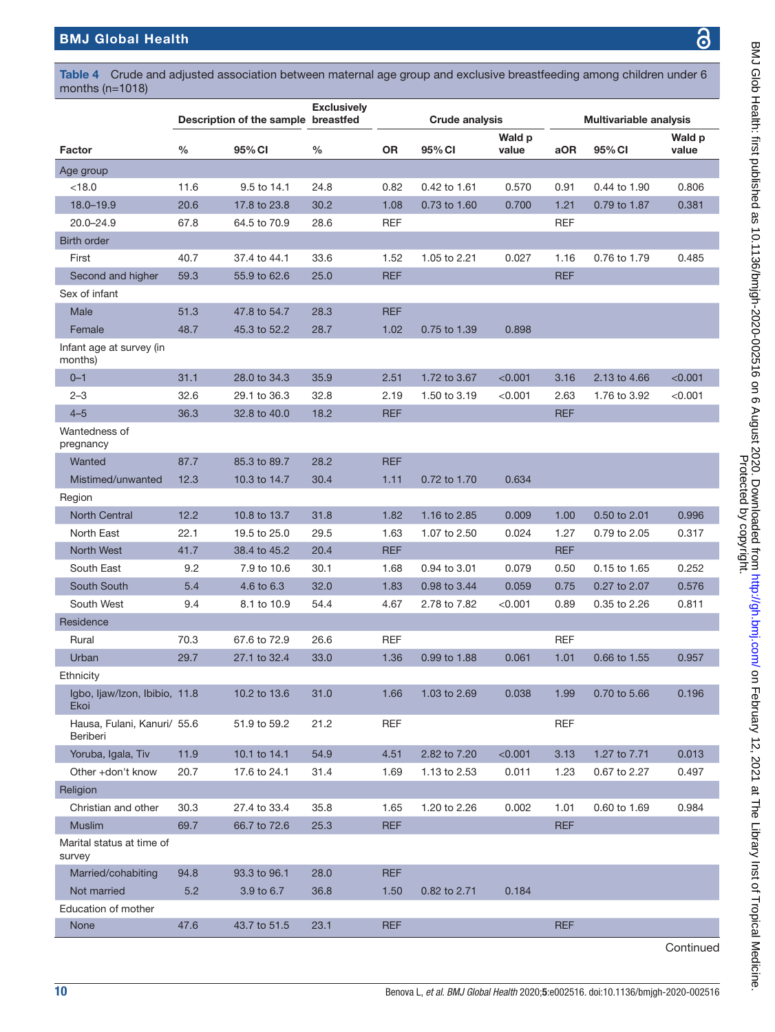<span id="page-9-0"></span>Table 4 Crude and adjusted association between maternal age group and exclusive breastfeeding among children under 6 months (n=1018)

|                                         |               | Description of the sample breastfed | <b>Exclusively</b> |            | <b>Crude analysis</b> |                 |            | <b>Multivariable analysis</b> |                 |
|-----------------------------------------|---------------|-------------------------------------|--------------------|------------|-----------------------|-----------------|------------|-------------------------------|-----------------|
| Factor                                  | $\frac{0}{0}$ | 95% CI                              | %                  | <b>OR</b>  | 95% CI                | Wald p<br>value | aOR        | 95% CI                        | Wald p<br>value |
| Age group                               |               |                                     |                    |            |                       |                 |            |                               |                 |
| < 18.0                                  | 11.6          | 9.5 to 14.1                         | 24.8               | 0.82       | 0.42 to 1.61          | 0.570           | 0.91       | 0.44 to 1.90                  | 0.806           |
| 18.0-19.9                               | 20.6          | 17.8 to 23.8                        | 30.2               | 1.08       | 0.73 to 1.60          | 0.700           | 1.21       | 0.79 to 1.87                  | 0.381           |
| 20.0-24.9                               | 67.8          | 64.5 to 70.9                        | 28.6               | <b>REF</b> |                       |                 | <b>REF</b> |                               |                 |
| <b>Birth order</b>                      |               |                                     |                    |            |                       |                 |            |                               |                 |
| First                                   | 40.7          | 37.4 to 44.1                        | 33.6               | 1.52       | 1.05 to 2.21          | 0.027           | 1.16       | 0.76 to 1.79                  | 0.485           |
| Second and higher                       | 59.3          | 55.9 to 62.6                        | 25.0               | <b>REF</b> |                       |                 | <b>REF</b> |                               |                 |
| Sex of infant                           |               |                                     |                    |            |                       |                 |            |                               |                 |
| Male                                    | 51.3          | 47.8 to 54.7                        | 28.3               | <b>REF</b> |                       |                 |            |                               |                 |
| Female                                  | 48.7          | 45.3 to 52.2                        | 28.7               | 1.02       | 0.75 to 1.39          | 0.898           |            |                               |                 |
| Infant age at survey (in<br>months)     |               |                                     |                    |            |                       |                 |            |                               |                 |
| $0 - 1$                                 | 31.1          | 28.0 to 34.3                        | 35.9               | 2.51       | 1.72 to 3.67          | < 0.001         | 3.16       | 2.13 to 4.66                  | < 0.001         |
| $2 - 3$                                 | 32.6          | 29.1 to 36.3                        | 32.8               | 2.19       | 1.50 to 3.19          | < 0.001         | 2.63       | 1.76 to 3.92                  | < 0.001         |
| $4 - 5$                                 | 36.3          | 32.8 to 40.0                        | 18.2               | <b>REF</b> |                       |                 | <b>REF</b> |                               |                 |
| Wantedness of<br>pregnancy              |               |                                     |                    |            |                       |                 |            |                               |                 |
| Wanted                                  | 87.7          | 85.3 to 89.7                        | 28.2               | <b>REF</b> |                       |                 |            |                               |                 |
| Mistimed/unwanted                       | 12.3          | 10.3 to 14.7                        | 30.4               | 1.11       | 0.72 to 1.70          | 0.634           |            |                               |                 |
| Region                                  |               |                                     |                    |            |                       |                 |            |                               |                 |
| <b>North Central</b>                    | 12.2          | 10.8 to 13.7                        | 31.8               | 1.82       | 1.16 to 2.85          | 0.009           | 1.00       | 0.50 to 2.01                  | 0.996           |
| North East                              | 22.1          | 19.5 to 25.0                        | 29.5               | 1.63       | 1.07 to 2.50          | 0.024           | 1.27       | 0.79 to 2.05                  | 0.317           |
| North West                              | 41.7          | 38.4 to 45.2                        | 20.4               | <b>REF</b> |                       |                 | <b>REF</b> |                               |                 |
| South East                              | 9.2           | 7.9 to 10.6                         | 30.1               | 1.68       | 0.94 to 3.01          | 0.079           | 0.50       | 0.15 to 1.65                  | 0.252           |
| South South                             | 5.4           | 4.6 to 6.3                          | 32.0               | 1.83       | 0.98 to 3.44          | 0.059           | 0.75       | 0.27 to 2.07                  | 0.576           |
| South West                              | 9.4           | 8.1 to 10.9                         | 54.4               | 4.67       | 2.78 to 7.82          | < 0.001         | 0.89       | 0.35 to 2.26                  | 0.811           |
| Residence                               |               |                                     |                    |            |                       |                 |            |                               |                 |
| Rural                                   | 70.3          | 67.6 to 72.9                        | 26.6               | <b>REF</b> |                       |                 | <b>REF</b> |                               |                 |
| Urban                                   | 29.7          | 27.1 to 32.4                        | 33.0               | 1.36       | 0.99 to 1.88          | 0.061           | 1.01       | 0.66 to 1.55                  | 0.957           |
| <b>Ethnicity</b>                        |               |                                     |                    |            |                       |                 |            |                               |                 |
| Igbo, Ijaw/Izon, Ibibio, 11.8<br>Ekoi   |               | 10.2 to 13.6                        | 31.0               | 1.66       | 1.03 to 2.69          | 0.038           | 1.99       | 0.70 to 5.66                  | 0.196           |
| Hausa, Fulani, Kanuri/ 55.6<br>Beriberi |               | 51.9 to 59.2                        | 21.2               | <b>REF</b> |                       |                 | <b>REF</b> |                               |                 |
| Yoruba, Igala, Tiv                      | 11.9          | 10.1 to 14.1                        | 54.9               | 4.51       | 2.82 to 7.20          | < 0.001         | 3.13       | 1.27 to 7.71                  | 0.013           |
| Other +don't know                       | 20.7          | 17.6 to 24.1                        | 31.4               | 1.69       | 1.13 to 2.53          | 0.011           | 1.23       | 0.67 to 2.27                  | 0.497           |
| Religion                                |               |                                     |                    |            |                       |                 |            |                               |                 |
| Christian and other                     | 30.3          | 27.4 to 33.4                        | 35.8               | 1.65       | 1.20 to 2.26          | 0.002           | 1.01       | 0.60 to 1.69                  | 0.984           |
| <b>Muslim</b>                           | 69.7          | 66.7 to 72.6                        | 25.3               | <b>REF</b> |                       |                 | <b>REF</b> |                               |                 |
| Marital status at time of<br>survey     |               |                                     |                    |            |                       |                 |            |                               |                 |
| Married/cohabiting                      | 94.8          | 93.3 to 96.1                        | 28.0               | <b>REF</b> |                       |                 |            |                               |                 |
| Not married                             | 5.2           | 3.9 to 6.7                          | 36.8               | 1.50       | 0.82 to 2.71          | 0.184           |            |                               |                 |
| Education of mother                     |               |                                     |                    |            |                       |                 |            |                               |                 |
| None                                    | 47.6          | 43.7 to 51.5                        | 23.1               | <b>REF</b> |                       |                 | <b>REF</b> |                               |                 |

**Continued**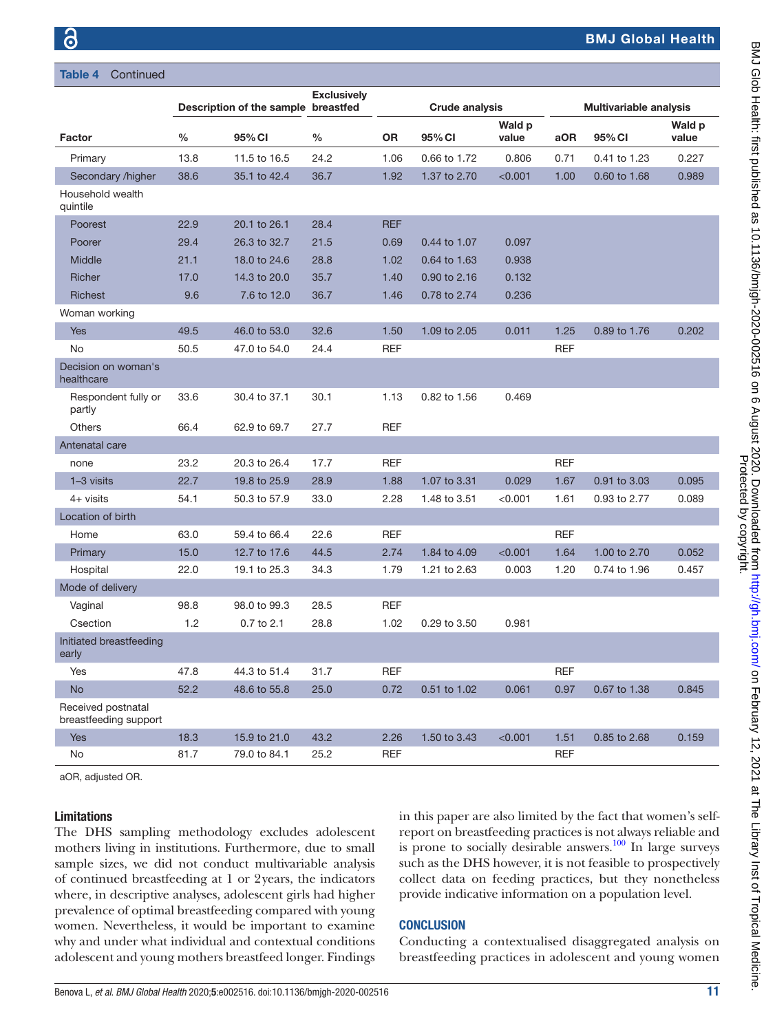Table 4 Continued

|                                             |               | Description of the sample breastfed | <b>Exclusively</b> |            | <b>Crude analysis</b> |                 |            | <b>Multivariable analysis</b> |                 |
|---------------------------------------------|---------------|-------------------------------------|--------------------|------------|-----------------------|-----------------|------------|-------------------------------|-----------------|
| Factor                                      | $\frac{0}{0}$ | 95% CI                              | $\frac{0}{0}$      | <b>OR</b>  | 95% CI                | Wald p<br>value | aOR        | 95% CI                        | Wald p<br>value |
| Primary                                     | 13.8          | 11.5 to 16.5                        | 24.2               | 1.06       | 0.66 to 1.72          | 0.806           | 0.71       | 0.41 to 1.23                  | 0.227           |
| Secondary /higher                           | 38.6          | 35.1 to 42.4                        | 36.7               | 1.92       | 1.37 to 2.70          | < 0.001         | 1.00       | 0.60 to 1.68                  | 0.989           |
| Household wealth<br>quintile                |               |                                     |                    |            |                       |                 |            |                               |                 |
| Poorest                                     | 22.9          | 20.1 to 26.1                        | 28.4               | <b>REF</b> |                       |                 |            |                               |                 |
| Poorer                                      | 29.4          | 26.3 to 32.7                        | 21.5               | 0.69       | 0.44 to 1.07          | 0.097           |            |                               |                 |
| Middle                                      | 21.1          | 18.0 to 24.6                        | 28.8               | 1.02       | 0.64 to 1.63          | 0.938           |            |                               |                 |
| <b>Richer</b>                               | 17.0          | 14.3 to 20.0                        | 35.7               | 1.40       | 0.90 to 2.16          | 0.132           |            |                               |                 |
| Richest                                     | 9.6           | 7.6 to 12.0                         | 36.7               | 1.46       | 0.78 to 2.74          | 0.236           |            |                               |                 |
| Woman working                               |               |                                     |                    |            |                       |                 |            |                               |                 |
| <b>Yes</b>                                  | 49.5          | 46.0 to 53.0                        | 32.6               | 1.50       | 1.09 to 2.05          | 0.011           | 1.25       | 0.89 to 1.76                  | 0.202           |
| No                                          | 50.5          | 47.0 to 54.0                        | 24.4               | <b>REF</b> |                       |                 | <b>REF</b> |                               |                 |
| Decision on woman's<br>healthcare           |               |                                     |                    |            |                       |                 |            |                               |                 |
| Respondent fully or<br>partly               | 33.6          | 30.4 to 37.1                        | 30.1               | 1.13       | 0.82 to 1.56          | 0.469           |            |                               |                 |
| <b>Others</b>                               | 66.4          | 62.9 to 69.7                        | 27.7               | <b>REF</b> |                       |                 |            |                               |                 |
| Antenatal care                              |               |                                     |                    |            |                       |                 |            |                               |                 |
| none                                        | 23.2          | 20.3 to 26.4                        | 17.7               | <b>REF</b> |                       |                 | <b>REF</b> |                               |                 |
| $1 - 3$ visits                              | 22.7          | 19.8 to 25.9                        | 28.9               | 1.88       | 1.07 to 3.31          | 0.029           | 1.67       | 0.91 to 3.03                  | 0.095           |
| 4+ visits                                   | 54.1          | 50.3 to 57.9                        | 33.0               | 2.28       | 1.48 to 3.51          | < 0.001         | 1.61       | 0.93 to 2.77                  | 0.089           |
| Location of birth                           |               |                                     |                    |            |                       |                 |            |                               |                 |
| Home                                        | 63.0          | 59.4 to 66.4                        | 22.6               | <b>REF</b> |                       |                 | <b>REF</b> |                               |                 |
| Primary                                     | 15.0          | 12.7 to 17.6                        | 44.5               | 2.74       | 1.84 to 4.09          | < 0.001         | 1.64       | 1.00 to 2.70                  | 0.052           |
| Hospital                                    | 22.0          | 19.1 to 25.3                        | 34.3               | 1.79       | 1.21 to 2.63          | 0.003           | 1.20       | 0.74 to 1.96                  | 0.457           |
| Mode of delivery                            |               |                                     |                    |            |                       |                 |            |                               |                 |
| Vaginal                                     | 98.8          | 98.0 to 99.3                        | 28.5               | <b>REF</b> |                       |                 |            |                               |                 |
| Csection                                    | 1.2           | 0.7 to 2.1                          | 28.8               | 1.02       | 0.29 to 3.50          | 0.981           |            |                               |                 |
| Initiated breastfeeding<br>early            |               |                                     |                    |            |                       |                 |            |                               |                 |
| Yes                                         | 47.8          | 44.3 to 51.4                        | 31.7               | <b>REF</b> |                       |                 | <b>REF</b> |                               |                 |
| <b>No</b>                                   | 52.2          | 48.6 to 55.8                        | 25.0               | 0.72       | 0.51 to 1.02          | 0.061           | 0.97       | 0.67 to 1.38                  | 0.845           |
| Received postnatal<br>breastfeeding support |               |                                     |                    |            |                       |                 |            |                               |                 |
| <b>Yes</b>                                  | 18.3          | 15.9 to 21.0                        | 43.2               | 2.26       | 1.50 to 3.43          | < 0.001         | 1.51       | 0.85 to 2.68                  | 0.159           |
| No                                          | 81.7          | 79.0 to 84.1                        | 25.2               | <b>REF</b> |                       |                 | <b>REF</b> |                               |                 |

aOR, adjusted OR.

#### Limitations

The DHS sampling methodology excludes adolescent mothers living in institutions. Furthermore, due to small sample sizes, we did not conduct multivariable analysis of continued breastfeeding at 1 or 2years, the indicators where, in descriptive analyses, adolescent girls had higher prevalence of optimal breastfeeding compared with young women. Nevertheless, it would be important to examine why and under what individual and contextual conditions adolescent and young mothers breastfeed longer. Findings

in this paper are also limited by the fact that women's selfreport on breastfeeding practices is not always reliable and is prone to socially desirable answers.<sup>[100](#page-13-5)</sup> In large surveys such as the DHS however, it is not feasible to prospectively collect data on feeding practices, but they nonetheless provide indicative information on a population level.

#### **CONCLUSION**

Conducting a contextualised disaggregated analysis on breastfeeding practices in adolescent and young women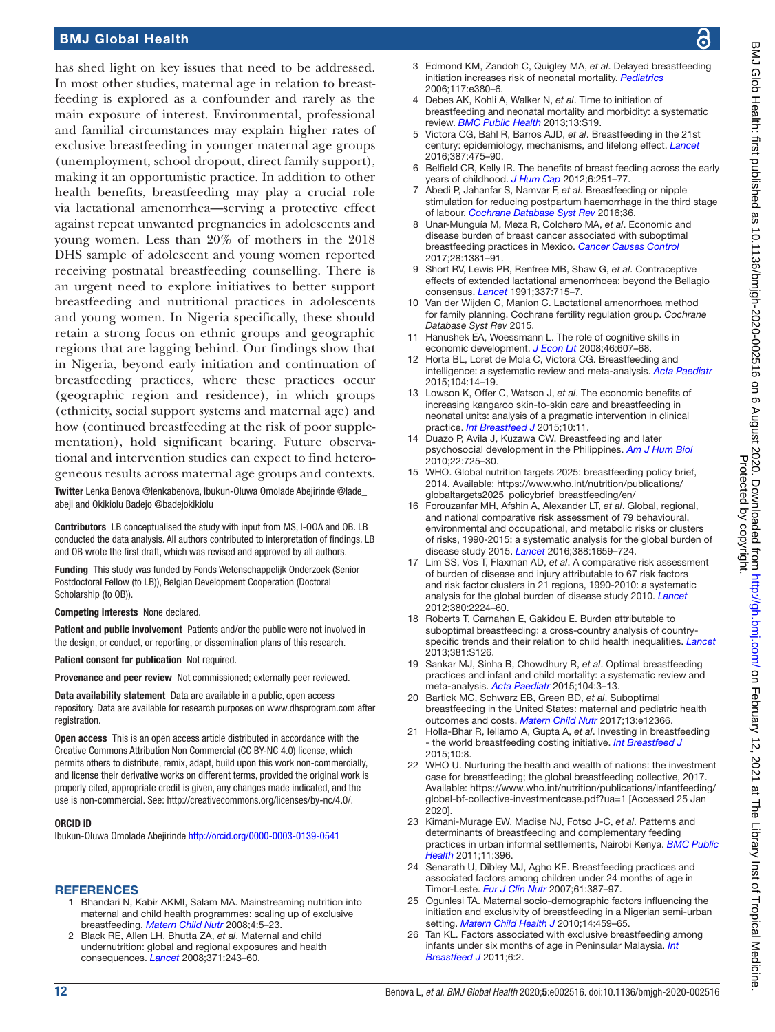#### BMJ Global Health

has shed light on key issues that need to be addressed. In most other studies, maternal age in relation to breastfeeding is explored as a confounder and rarely as the main exposure of interest. Environmental, professional and familial circumstances may explain higher rates of exclusive breastfeeding in younger maternal age groups (unemployment, school dropout, direct family support), making it an opportunistic practice. In addition to other health benefits, breastfeeding may play a crucial role via lactational amenorrhea—serving a protective effect against repeat unwanted pregnancies in adolescents and young women. Less than 20% of mothers in the 2018 DHS sample of adolescent and young women reported receiving postnatal breastfeeding counselling. There is an urgent need to explore initiatives to better support breastfeeding and nutritional practices in adolescents and young women. In Nigeria specifically, these should retain a strong focus on ethnic groups and geographic regions that are lagging behind. Our findings show that in Nigeria, beyond early initiation and continuation of breastfeeding practices, where these practices occur (geographic region and residence), in which groups (ethnicity, social support systems and maternal age) and how (continued breastfeeding at the risk of poor supplementation), hold significant bearing. Future observational and intervention studies can expect to find heterogeneous results across maternal age groups and contexts.

Twitter Lenka Benova [@lenkabenova](https://twitter.com/lenkabenova), Ibukun-Oluwa Omolade Abejirinde [@lade\\_](https://twitter.com/lade_abeji) [abeji](https://twitter.com/lade_abeji) and Okikiolu Badejo [@badejokikiolu](https://twitter.com/badejokikiolu)

Contributors LB conceptualised the study with input from MS, I-OOA and OB. LB conducted the data analysis. All authors contributed to interpretation of findings. LB and OB wrote the first draft, which was revised and approved by all authors.

Funding This study was funded by Fonds Wetenschappelijk Onderzoek (Senior Postdoctoral Fellow (to LB)), Belgian Development Cooperation (Doctoral Scholarship (to OB)).

Competing interests None declared.

Patient and public involvement Patients and/or the public were not involved in the design, or conduct, or reporting, or dissemination plans of this research.

Patient consent for publication Not required.

Provenance and peer review Not commissioned; externally peer reviewed.

Data availability statement Data are available in a public, open access repository. Data are available for research purposes on www.dhsprogram.com after registration.

Open access This is an open access article distributed in accordance with the Creative Commons Attribution Non Commercial (CC BY-NC 4.0) license, which permits others to distribute, remix, adapt, build upon this work non-commercially, and license their derivative works on different terms, provided the original work is properly cited, appropriate credit is given, any changes made indicated, and the use is non-commercial. See: [http://creativecommons.org/licenses/by-nc/4.0/.](http://creativecommons.org/licenses/by-nc/4.0/)

#### ORCID iD

Ibukun-Oluwa Omolade Abejirinde <http://orcid.org/0000-0003-0139-0541>

#### <span id="page-11-0"></span>**REFERENCES**

- 1 Bhandari N, Kabir AKMI, Salam MA. Mainstreaming nutrition into maternal and child health programmes: scaling up of exclusive breastfeeding. *[Matern Child Nutr](http://dx.doi.org/10.1111/j.1740-8709.2007.00126.x)* 2008;4:5–23.
- 2 Black RE, Allen LH, Bhutta ZA, *et al*. Maternal and child undernutrition: global and regional exposures and health consequences. *[Lancet](http://dx.doi.org/10.1016/S0140-6736(07)61690-0)* 2008;371:243–60.
- 3 Edmond KM, Zandoh C, Quigley MA, *et al*. Delayed breastfeeding initiation increases risk of neonatal mortality. *[Pediatrics](http://dx.doi.org/10.1542/peds.2005-1496)* 2006;117:e380–6.
- 4 Debes AK, Kohli A, Walker N, *et al*. Time to initiation of breastfeeding and neonatal mortality and morbidity: a systematic review. *[BMC Public Health](http://dx.doi.org/10.1186/1471-2458-13-S3-S19)* 2013;13:S19.
- <span id="page-11-1"></span>5 Victora CG, Bahl R, Barros AJD, *et al*. Breastfeeding in the 21st century: epidemiology, mechanisms, and lifelong effect. *[Lancet](http://dx.doi.org/10.1016/S0140-6736(15)01024-7)* 2016;387:475–90.
- 6 Belfield CR, Kelly IR. The benefits of breast feeding across the early years of childhood. *[J Hum Cap](http://dx.doi.org/10.1086/667415)* 2012;6:251–77.
- <span id="page-11-2"></span>7 Abedi P, Jahanfar S, Namvar F, *et al*. Breastfeeding or nipple stimulation for reducing postpartum haemorrhage in the third stage of labour. *[Cochrane Database Syst Rev](http://dx.doi.org/10.1002/14651858.CD010845.pub2)* 2016;36.
- 8 Unar-Munguía M, Meza R, Colchero MA, *et al*. Economic and disease burden of breast cancer associated with suboptimal breastfeeding practices in Mexico. *[Cancer Causes Control](http://dx.doi.org/10.1007/s10552-017-0965-0)* 2017;28:1381–91.
- <span id="page-11-3"></span>9 Short RV, Lewis PR, Renfree MB, Shaw G, *et al*. Contraceptive effects of extended lactational amenorrhoea: beyond the Bellagio consensus. *[Lancet](http://dx.doi.org/10.1016/0140-6736(91)90288-Z)* 1991;337:715–7.
- 10 Van der Wijden C, Manion C. Lactational amenorrhoea method for family planning. Cochrane fertility regulation group. *Cochrane Database Syst Rev* 2015.
- <span id="page-11-4"></span>11 Hanushek EA, Woessmann L. The role of cognitive skills in economic development. *[J Econ Lit](http://dx.doi.org/10.1257/jel.46.3.607)* 2008;46:607–68.
- 12 Horta BL, Loret de Mola C, Victora CG. Breastfeeding and intelligence: a systematic review and meta-analysis. *[Acta Paediatr](http://dx.doi.org/10.1111/apa.13139)* 2015;104:14–19.
- 13 Lowson K, Offer C, Watson J, *et al*. The economic benefits of increasing kangaroo skin-to-skin care and breastfeeding in neonatal units: analysis of a pragmatic intervention in clinical practice. *[Int Breastfeed J](http://dx.doi.org/10.1186/s13006-015-0035-8)* 2015;10:11.
- 14 Duazo P, Avila J, Kuzawa CW. Breastfeeding and later psychosocial development in the Philippines. *[Am J Hum Biol](http://dx.doi.org/10.1002/ajhb.21073)* 2010;22:725–30.
- <span id="page-11-5"></span>15 WHO. Global nutrition targets 2025: breastfeeding policy brief, 2014. Available: [https://www.who.int/nutrition/publications/](https://www.who.int/nutrition/publications/%20globaltargets2025_policybrief_breastfeeding/en/)  [globaltargets2025\\_policybrief\\_breastfeeding/en/](https://www.who.int/nutrition/publications/%20globaltargets2025_policybrief_breastfeeding/en/)
- <span id="page-11-6"></span>16 Forouzanfar MH, Afshin A, Alexander LT, *et al*. Global, regional, and national comparative risk assessment of 79 behavioural, environmental and occupational, and metabolic risks or clusters of risks, 1990-2015: a systematic analysis for the global burden of disease study 2015. *[Lancet](http://dx.doi.org/10.1016/S0140-6736(16)31679-8)* 2016;388:1659–724.
- <span id="page-11-7"></span>17 Lim SS, Vos T, Flaxman AD, *et al*. A comparative risk assessment of burden of disease and injury attributable to 67 risk factors and risk factor clusters in 21 regions, 1990-2010: a systematic analysis for the global burden of disease study 2010. *[Lancet](http://dx.doi.org/10.1016/S0140-6736(12)61766-8)* 2012;380:2224–60.
- 18 Roberts T, Carnahan E, Gakidou E. Burden attributable to suboptimal breastfeeding: a cross-country analysis of countryspecific trends and their relation to child health inequalities. *[Lancet](http://dx.doi.org/10.1016/S0140-6736(13)61380-X)* 2013;381:S126.
- 19 Sankar MJ, Sinha B, Chowdhury R, *et al*. Optimal breastfeeding practices and infant and child mortality: a systematic review and meta-analysis. *[Acta Paediatr](http://dx.doi.org/10.1111/apa.13147)* 2015;104:3–13.
- 20 Bartick MC, Schwarz EB, Green BD, *et al*. Suboptimal breastfeeding in the United States: maternal and pediatric health outcomes and costs. *[Matern Child Nutr](http://dx.doi.org/10.1111/mcn.12366)* 2017;13:e12366.
- <span id="page-11-8"></span>21 Holla-Bhar R, Iellamo A, Gupta A, *et al*. Investing in breastfeeding - the world breastfeeding costing initiative. *[Int Breastfeed J](http://dx.doi.org/10.1186/s13006-015-0032-y)* 2015;10:8.
- <span id="page-11-10"></span>22 WHO U. Nurturing the health and wealth of nations: the investment case for breastfeeding; the global breastfeeding collective, 2017. Available: [https://www.who.int/nutrition/publications/infantfeeding/](https://www.who.int/nutrition/publications/infantfeeding/global-bf-collective-investmentcase.pdf?ua=1) [global-bf-collective-investmentcase.pdf?ua=1](https://www.who.int/nutrition/publications/infantfeeding/global-bf-collective-investmentcase.pdf?ua=1) [Accessed 25 Jan 2020].
- <span id="page-11-9"></span>23 Kimani-Murage EW, Madise NJ, Fotso J-C, *et al*. Patterns and determinants of breastfeeding and complementary feeding practices in urban informal settlements, Nairobi Kenya. *[BMC Public](http://dx.doi.org/10.1186/1471-2458-11-396)  [Health](http://dx.doi.org/10.1186/1471-2458-11-396)* 2011;11:396.
- 24 Senarath U, Dibley MJ, Agho KE. Breastfeeding practices and associated factors among children under 24 months of age in Timor-Leste. *[Eur J Clin Nutr](http://dx.doi.org/10.1038/sj.ejcn.1602536)* 2007;61:387–97.
- 25 Ogunlesi TA. Maternal socio-demographic factors influencing the initiation and exclusivity of breastfeeding in a Nigerian semi-urban setting. *[Matern Child Health J](http://dx.doi.org/10.1007/s10995-008-0440-3)* 2010;14:459–65.
- 26 Tan KL. Factors associated with exclusive breastfeeding among infants under six months of age in Peninsular Malaysia. *[Int](http://dx.doi.org/10.1186/1746-4358-6-2)  [Breastfeed J](http://dx.doi.org/10.1186/1746-4358-6-2)* 2011;6:2.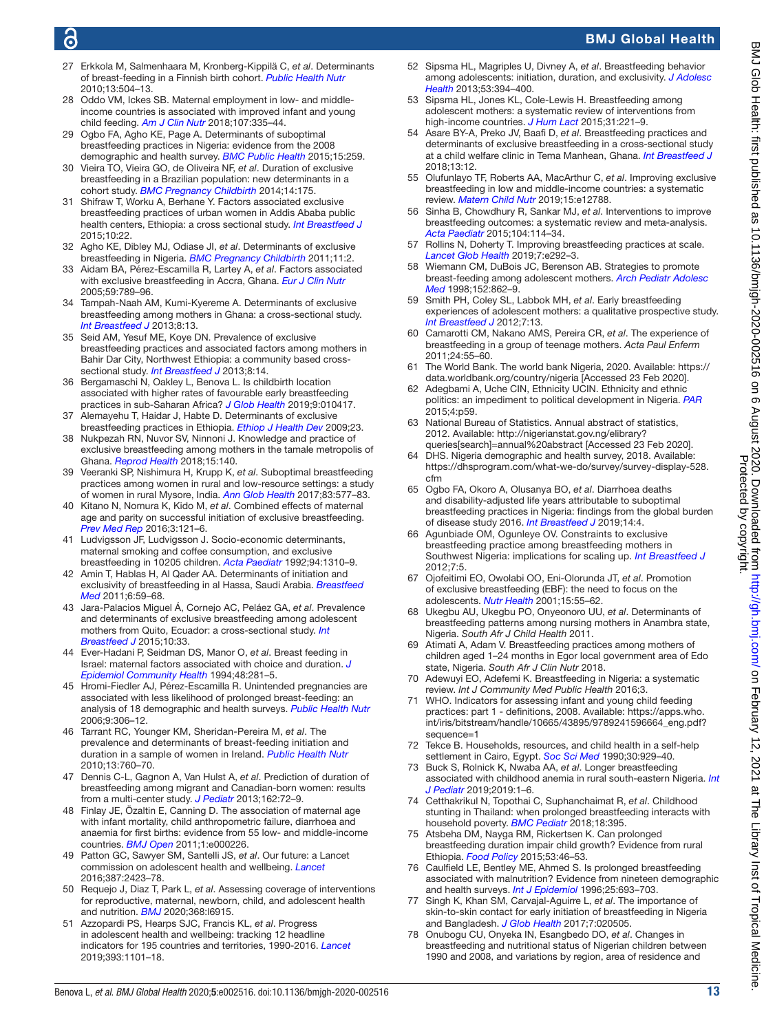# 6

### BMJ Global Health

- 27 Erkkola M, Salmenhaara M, Kronberg-Kippilä C, *et al*. Determinants of breast-feeding in a Finnish birth cohort. *[Public Health Nutr](http://dx.doi.org/10.1017/S1368980009991777)* 2010;13:504–13.
- 28 Oddo VM, Ickes SB. Maternal employment in low- and middleincome countries is associated with improved infant and young child feeding. *[Am J Clin Nutr](http://dx.doi.org/10.1093/ajcn/nqy001)* 2018;107:335–44.
- <span id="page-12-0"></span>29 Ogbo FA, Agho KE, Page A. Determinants of suboptimal breastfeeding practices in Nigeria: evidence from the 2008 demographic and health survey. *[BMC Public Health](http://dx.doi.org/10.1186/s12889-015-1595-7)* 2015;15:259.
- 30 Vieira TO, Vieira GO, de Oliveira NF, *et al*. Duration of exclusive breastfeeding in a Brazilian population: new determinants in a cohort study. *[BMC Pregnancy Childbirth](http://dx.doi.org/10.1186/1471-2393-14-175)* 2014;14:175.
- <span id="page-12-1"></span>31 Shifraw T, Worku A, Berhane Y. Factors associated exclusive breastfeeding practices of urban women in Addis Ababa public health centers, Ethiopia: a cross sectional study. *[Int Breastfeed J](http://dx.doi.org/10.1186/s13006-015-0047-4)* 2015;10:22.
- <span id="page-12-2"></span>32 Agho KE, Dibley MJ, Odiase JI, *et al*. Determinants of exclusive breastfeeding in Nigeria. *[BMC Pregnancy Childbirth](http://dx.doi.org/10.1186/1471-2393-11-2)* 2011;11:2.
- <span id="page-12-3"></span>33 Aidam BA, Pérez-Escamilla R, Lartey A, *et al*. Factors associated with exclusive breastfeeding in Accra, Ghana. *[Eur J Clin Nutr](http://dx.doi.org/10.1038/sj.ejcn.1602144)* 2005;59:789–96.
- 34 Tampah-Naah AM, Kumi-Kyereme A. Determinants of exclusive breastfeeding among mothers in Ghana: a cross-sectional study. *[Int Breastfeed J](http://dx.doi.org/10.1186/1746-4358-8-13)* 2013;8:13.
- Seid AM, Yesuf ME, Koye DN. Prevalence of exclusive breastfeeding practices and associated factors among mothers in Bahir Dar City, Northwest Ethiopia: a community based crosssectional study. *[Int Breastfeed J](http://dx.doi.org/10.1186/1746-4358-8-14)* 2013;8:14.
- 36 Bergamaschi N, Oakley L, Benova L. Is childbirth location associated with higher rates of favourable early breastfeeding practices in sub-Saharan Africa? *[J Glob Health](http://dx.doi.org/10.7189/jogh.09.010417)* 2019;9:010417.
- 37 Alemayehu T, Haidar J, Habte D. Determinants of exclusive breastfeeding practices in Ethiopia. *[Ethiop J Health Dev](http://dx.doi.org/10.4314/ejhd.v23i1.44832)* 2009;23.
- 38 Nukpezah RN, Nuvor SV, Ninnoni J. Knowledge and practice of exclusive breastfeeding among mothers in the tamale metropolis of Ghana. *[Reprod Health](http://dx.doi.org/10.1186/s12978-018-0579-3)* 2018;15:140.
- <span id="page-12-4"></span>39 Veeranki SP, Nishimura H, Krupp K, *et al*. Suboptimal breastfeeding practices among women in rural and low-resource settings: a study of women in rural Mysore, India. *[Ann Glob Health](http://dx.doi.org/10.1016/j.aogh.2017.10.012)* 2017;83:577–83.
- 40 Kitano N, Nomura K, Kido M, *et al*. Combined effects of maternal age and parity on successful initiation of exclusive breastfeeding. *[Prev Med Rep](http://dx.doi.org/10.1016/j.pmedr.2015.12.010)* 2016;3:121–6.
- <span id="page-12-5"></span>41 Ludvigsson JF, Ludvigsson J. Socio-economic determinants, maternal smoking and coffee consumption, and exclusive breastfeeding in 10205 children. *[Acta Paediatr](http://dx.doi.org/10.1111/j.1651-2227.2005.tb02093.x)* 1992;94:1310–9.
- 42 Amin T, Hablas H, Al Qader AA. Determinants of initiation and exclusivity of breastfeeding in al Hassa, Saudi Arabia. *[Breastfeed](http://dx.doi.org/10.1089/bfm.2010.0018)  [Med](http://dx.doi.org/10.1089/bfm.2010.0018)* 2011;6:59–68.
- 43 Jara-Palacios Miguel Á, Cornejo AC, Peláez GA, *et al*. Prevalence and determinants of exclusive breastfeeding among adolescent mothers from Quito, Ecuador: a cross-sectional study. *[Int](http://dx.doi.org/10.1186/s13006-015-0058-1)  [Breastfeed J](http://dx.doi.org/10.1186/s13006-015-0058-1)* 2015;10:33.
- <span id="page-12-6"></span>44 Ever-Hadani P, Seidman DS, Manor O, *et al*. Breast feeding in Israel: maternal factors associated with choice and duration. *[J](http://dx.doi.org/10.1136/jech.48.3.281)  [Epidemiol Community Health](http://dx.doi.org/10.1136/jech.48.3.281)* 1994;48:281–5.
- 45 Hromi-Fiedler AJ, Pérez-Escamilla R. Unintended pregnancies are associated with less likelihood of prolonged breast-feeding: an analysis of 18 demographic and health surveys. *[Public Health Nutr](http://dx.doi.org/10.1079/PHN2006856)* 2006;9:306–12.
- 46 Tarrant RC, Younger KM, Sheridan-Pereira M, *et al*. The prevalence and determinants of breast-feeding initiation and duration in a sample of women in Ireland. *[Public Health Nutr](http://dx.doi.org/10.1017/S1368980009991522)* 2010;13:760–70.
- 47 Dennis C-L, Gagnon A, Van Hulst A, *et al*. Prediction of duration of breastfeeding among migrant and Canadian-born women: results from a multi-center study. *[J Pediatr](http://dx.doi.org/10.1016/j.jpeds.2012.06.041)* 2013;162:72–9.
- <span id="page-12-7"></span>48 Finlay JE, Özaltin E, Canning D. The association of maternal age with infant mortality, child anthropometric failure, diarrhoea and anaemia for first births: evidence from 55 low- and middle-income countries. *[BMJ Open](http://dx.doi.org/10.1136/bmjopen-2011-000226)* 2011;1:e000226.
- <span id="page-12-8"></span>49 Patton GC, Sawyer SM, Santelli JS, *et al*. Our future: a Lancet commission on adolescent health and wellbeing. *[Lancet](http://dx.doi.org/10.1016/S0140-6736(16)00579-1)* 2016;387:2423–78.
- 50 Requejo J, Diaz T, Park L, *et al*. Assessing coverage of interventions for reproductive, maternal, newborn, child, and adolescent health and nutrition. *[BMJ](http://dx.doi.org/10.1136/bmj.l6915)* 2020;368:l6915.
- <span id="page-12-9"></span>51 Azzopardi PS, Hearps SJC, Francis KL, *et al*. Progress in adolescent health and wellbeing: tracking 12 headline indicators for 195 countries and territories, 1990-2016. *[Lancet](http://dx.doi.org/10.1016/S0140-6736(18)32427-9)* 2019;393:1101–18.
- <span id="page-12-10"></span>52 Sipsma HL, Magriples U, Divney A, *et al*. Breastfeeding behavior among adolescents: initiation, duration, and exclusivity. *[J Adolesc](http://dx.doi.org/10.1016/j.jadohealth.2013.04.005)  [Health](http://dx.doi.org/10.1016/j.jadohealth.2013.04.005)* 2013;53:394–400.
- 53 Sipsma HL, Jones KL, Cole-Lewis H. Breastfeeding among adolescent mothers: a systematic review of interventions from high-income countries. *[J Hum Lact](http://dx.doi.org/10.1177/0890334414561264)* 2015;31:221–9.
- 54 Asare BY-A, Preko JV, Baafi D, *et al*. Breastfeeding practices and determinants of exclusive breastfeeding in a cross-sectional study at a child welfare clinic in Tema Manhean, Ghana. *[Int Breastfeed J](http://dx.doi.org/10.1186/s13006-018-0156-y)* 2018;13:12.
- 55 Olufunlayo TF, Roberts AA, MacArthur C, *et al*. Improving exclusive breastfeeding in low and middle-income countries: a systematic review. *[Matern Child Nutr](http://dx.doi.org/10.1111/mcn.12788)* 2019;15:e12788.
- 56 Sinha B, Chowdhury R, Sankar MJ, *et al*. Interventions to improve breastfeeding outcomes: a systematic review and meta-analysis. *[Acta Paediatr](http://dx.doi.org/10.1111/apa.13127)* 2015;104:114–34.
- 57 Rollins N, Doherty T. Improving breastfeeding practices at scale. *[Lancet Glob Health](http://dx.doi.org/10.1016/S2214-109X(18)30557-6)* 2019;7:e292–3.
- 58 Wiemann CM, DuBois JC, Berenson AB. Strategies to promote breast-feeding among adolescent mothers. *[Arch Pediatr Adolesc](http://dx.doi.org/10.1001/archpedi.152.9.862)  [Med](http://dx.doi.org/10.1001/archpedi.152.9.862)* 1998;152:862–9.
- 59 Smith PH, Coley SL, Labbok MH, *et al*. Early breastfeeding experiences of adolescent mothers: a qualitative prospective study. *[Int Breastfeed J](http://dx.doi.org/10.1186/1746-4358-7-13)* 2012;7:13.
- 60 Camarotti CM, Nakano AMS, Pereira CR, *et al*. The experience of breastfeeding in a group of teenage mothers. *Acta Paul Enferm* 2011;24:55–60.
- <span id="page-12-11"></span>61 The World Bank. The world bank Nigeria, 2020. Available: [https://](https://data.worldbank.org/country/nigeria) [data.worldbank.org/country/nigeria](https://data.worldbank.org/country/nigeria) [Accessed 23 Feb 2020].
- <span id="page-12-12"></span>62 Adegbami A, Uche CIN, Ethnicity UCIN. Ethnicity and ethnic politics: an impediment to political development in Nigeria. *[PAR](http://dx.doi.org/10.5539/par.v4n1p59)* 2015;4:p59.
- 63 National Bureau of Statistics. Annual abstract of statistics, 2012. Available: [http://nigerianstat.gov.ng/elibrary?](http://nigerianstat.gov.ng/elibrary?queries[search]=annual%20abstract) [queries\[search\]=annual%20abstract](http://nigerianstat.gov.ng/elibrary?queries[search]=annual%20abstract) [Accessed 23 Feb 2020].
- <span id="page-12-13"></span>64 DHS. Nigeria demographic and health survey, 2018. Available: [https://dhsprogram.com/what-we-do/survey/survey-display-528.](https://dhsprogram.com/what-we-do/survey/survey-display-528.cfm) [cfm](https://dhsprogram.com/what-we-do/survey/survey-display-528.cfm)
- <span id="page-12-14"></span>65 Ogbo FA, Okoro A, Olusanya BO, *et al*. Diarrhoea deaths and disability-adjusted life years attributable to suboptimal breastfeeding practices in Nigeria: findings from the global burden of disease study 2016. *[Int Breastfeed J](http://dx.doi.org/10.1186/s13006-019-0198-9)* 2019;14:4.
- <span id="page-12-18"></span>Agunbiade OM, Ogunleye OV. Constraints to exclusive breastfeeding practice among breastfeeding mothers in Southwest Nigeria: implications for scaling up. *[Int Breastfeed J](http://dx.doi.org/10.1186/1746-4358-7-5)* 2012;7:5.
- <span id="page-12-15"></span>67 Ojofeitimi EO, Owolabi OO, Eni-Olorunda JT, *et al*. Promotion of exclusive breastfeeding (EBF): the need to focus on the adolescents. *[Nutr Health](http://dx.doi.org/10.1177/026010600101500107)* 2001;15:55–62.
- 68 Ukegbu AU, Ukegbu PO, Onyeonoro UU, *et al*. Determinants of breastfeeding patterns among nursing mothers in Anambra state, Nigeria. *South Afr J Child Health* 2011.
- 69 Atimati A, Adam V. Breastfeeding practices among mothers of children aged 1–24 months in Egor local government area of Edo state, Nigeria. *South Afr J Clin Nutr* 2018.
- 70 Adewuyi EO, Adefemi K. Breastfeeding in Nigeria: a systematic review. *Int J Community Med Public Health* 2016;3.
- 71 WHO. Indicators for assessing infant and young child feeding practices: part 1 ‐ definitions, 2008. Available: [https://apps.who.](https://apps.who.int/iris/bitstream/handle/10665/43895/9789241596664_eng.pdf?sequence=1) [int/iris/bitstream/handle/10665/43895/9789241596664\\_eng.pdf?](https://apps.who.int/iris/bitstream/handle/10665/43895/9789241596664_eng.pdf?sequence=1) [sequence=1](https://apps.who.int/iris/bitstream/handle/10665/43895/9789241596664_eng.pdf?sequence=1)
- <span id="page-12-16"></span>72 Tekce B. Households, resources, and child health in a self-help settlement in Cairo, Egypt. *[Soc Sci Med](http://dx.doi.org/10.1016/0277-9536(90)90221-D)* 1990;30:929–40.
- 73 Buck S, Rolnick K, Nwaba AA, *et al*. Longer breastfeeding associated with childhood anemia in rural south-eastern Nigeria. *[Int](http://dx.doi.org/10.1155/2019/9457981) [J Pediatr](http://dx.doi.org/10.1155/2019/9457981)* 2019;2019:1–6.
- 74 Cetthakrikul N, Topothai C, Suphanchaimat R, *et al*. Childhood stunting in Thailand: when prolonged breastfeeding interacts with household poverty. *[BMC Pediatr](http://dx.doi.org/10.1186/s12887-018-1375-5)* 2018;18:395.
- 75 Atsbeha DM, Nayga RM, Rickertsen K. Can prolonged breastfeeding duration impair child growth? Evidence from rural Ethiopia. *[Food Policy](http://dx.doi.org/10.1016/j.foodpol.2015.03.010)* 2015;53:46–53.
- 76 Caulfield LE, Bentley ME, Ahmed S. Is prolonged breastfeeding associated with malnutrition? Evidence from nineteen demographic and health surveys. *[Int J Epidemiol](http://dx.doi.org/10.1093/ije/25.4.693)* 1996;25:693–703.
- <span id="page-12-17"></span>Singh K, Khan SM, Carvajal-Aguirre L, et al. The importance of skin-to-skin contact for early initiation of breastfeeding in Nigeria and Bangladesh. *[J Glob Health](http://dx.doi.org/10.7189/jogh.07.020505)* 2017;7:020505.
- 78 Onubogu CU, Onyeka IN, Esangbedo DO, *et al*. Changes in breastfeeding and nutritional status of Nigerian children between 1990 and 2008, and variations by region, area of residence and